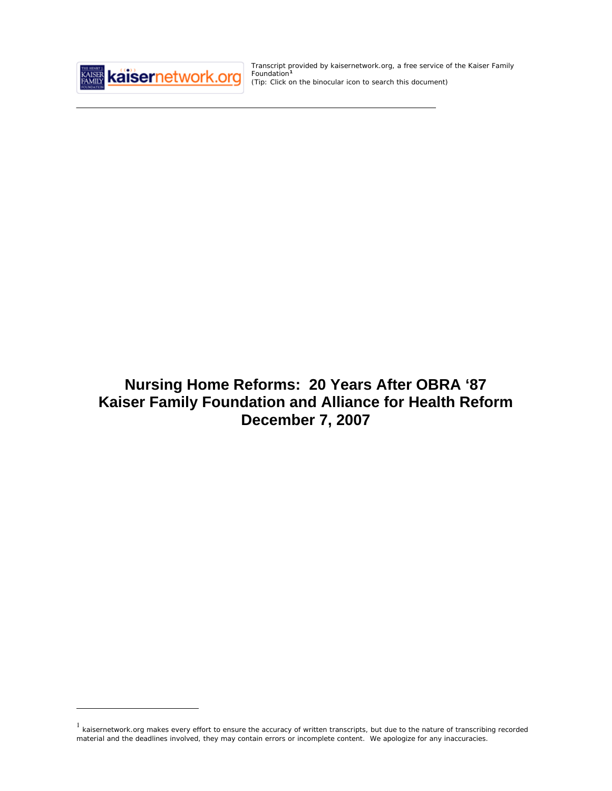

 $\overline{a}$ 

Transcript provided by kaisernetwork.org, a free service of the Kaiser Family Foundation**[1](#page-0-0)** *(Tip: Click on the binocular icon to search this document)* 

# **Nursing Home Reforms: 20 Years After OBRA '87 Kaiser Family Foundation and Alliance for Health Reform December 7, 2007**

<span id="page-0-0"></span> $1$  kaisernetwork.org makes every effort to ensure the accuracy of written transcripts, but due to the nature of transcribing recorded material and the deadlines involved, they may contain errors or incomplete content. We apologize for any inaccuracies.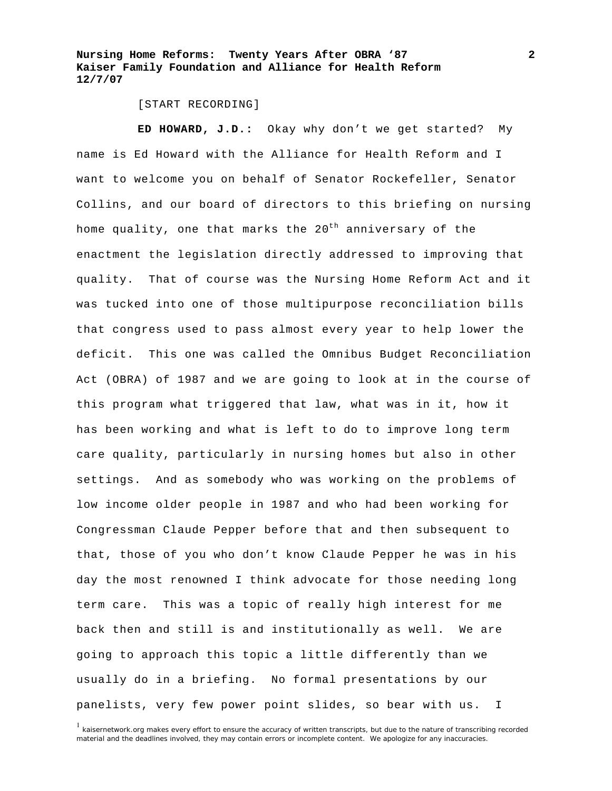#### [START RECORDING]

**ED HOWARD, J.D.:** Okay why don't we get started? My name is Ed Howard with the Alliance for Health Reform and I want to welcome you on behalf of Senator Rockefeller, Senator Collins, and our board of directors to this briefing on nursing home quality, one that marks the  $20^{th}$  anniversary of the enactment the legislation directly addressed to improving that quality. That of course was the Nursing Home Reform Act and it was tucked into one of those multipurpose reconciliation bills that congress used to pass almost every year to help lower the deficit. This one was called the Omnibus Budget Reconciliation Act (OBRA) of 1987 and we are going to look at in the course of this program what triggered that law, what was in it, how it has been working and what is left to do to improve long term care quality, particularly in nursing homes but also in other settings. And as somebody who was working on the problems of low income older people in 1987 and who had been working for Congressman Claude Pepper before that and then subsequent to that, those of you who don't know Claude Pepper he was in his day the most renowned I think advocate for those needing long term care. This was a topic of really high interest for me back then and still is and institutionally as well. We are going to approach this topic a little differently than we usually do in a briefing. No formal presentations by our panelists, very few power point slides, so bear with us. I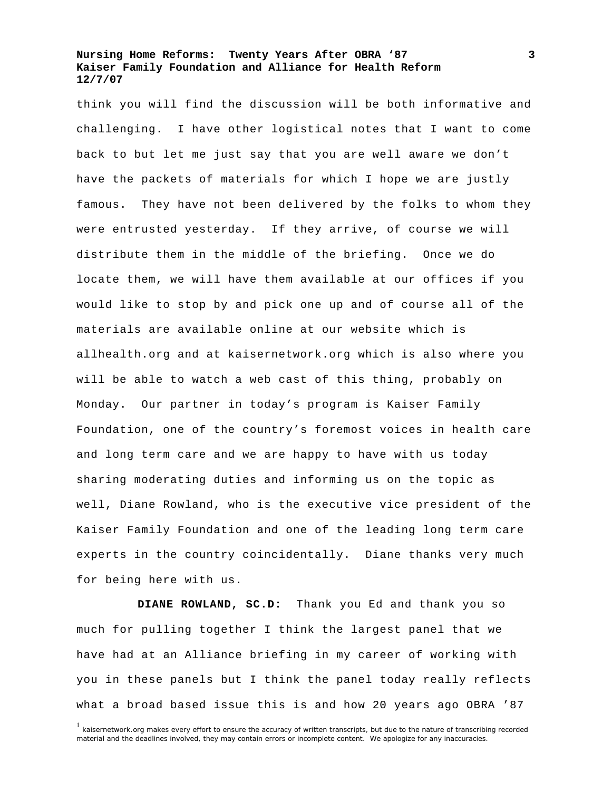think you will find the discussion will be both informative and challenging. I have other logistical notes that I want to come back to but let me just say that you are well aware we don't have the packets of materials for which I hope we are justly famous. They have not been delivered by the folks to whom they were entrusted yesterday. If they arrive, of course we will distribute them in the middle of the briefing. Once we do locate them, we will have them available at our offices if you would like to stop by and pick one up and of course all of the materials are available online at our website which is allhealth.org and at kaisernetwork.org which is also where you will be able to watch a web cast of this thing, probably on Monday. Our partner in today's program is Kaiser Family Foundation, one of the country's foremost voices in health care and long term care and we are happy to have with us today sharing moderating duties and informing us on the topic as well, Diane Rowland, who is the executive vice president of the Kaiser Family Foundation and one of the leading long term care experts in the country coincidentally. Diane thanks very much for being here with us.

**DIANE ROWLAND, SC.D:** Thank you Ed and thank you so much for pulling together I think the largest panel that we have had at an Alliance briefing in my career of working with you in these panels but I think the panel today really reflects what a broad based issue this is and how 20 years ago OBRA '87

<sup>&</sup>lt;sup>1</sup> kaisernetwork.org makes every effort to ensure the accuracy of written transcripts, but due to the nature of transcribing recorded material and the deadlines involved, they may contain errors or incomplete content. We apologize for any inaccuracies.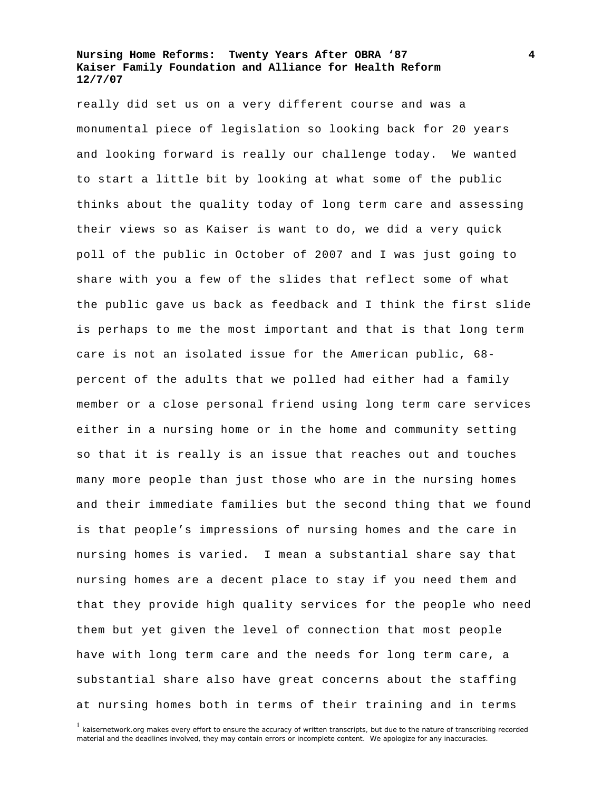really did set us on a very different course and was a monumental piece of legislation so looking back for 20 years and looking forward is really our challenge today. We wanted to start a little bit by looking at what some of the public thinks about the quality today of long term care and assessing their views so as Kaiser is want to do, we did a very quick poll of the public in October of 2007 and I was just going to share with you a few of the slides that reflect some of what the public gave us back as feedback and I think the first slide is perhaps to me the most important and that is that long term care is not an isolated issue for the American public, 68 percent of the adults that we polled had either had a family member or a close personal friend using long term care services either in a nursing home or in the home and community setting so that it is really is an issue that reaches out and touches many more people than just those who are in the nursing homes and their immediate families but the second thing that we found is that people's impressions of nursing homes and the care in nursing homes is varied. I mean a substantial share say that nursing homes are a decent place to stay if you need them and that they provide high quality services for the people who need them but yet given the level of connection that most people have with long term care and the needs for long term care, a substantial share also have great concerns about the staffing at nursing homes both in terms of their training and in terms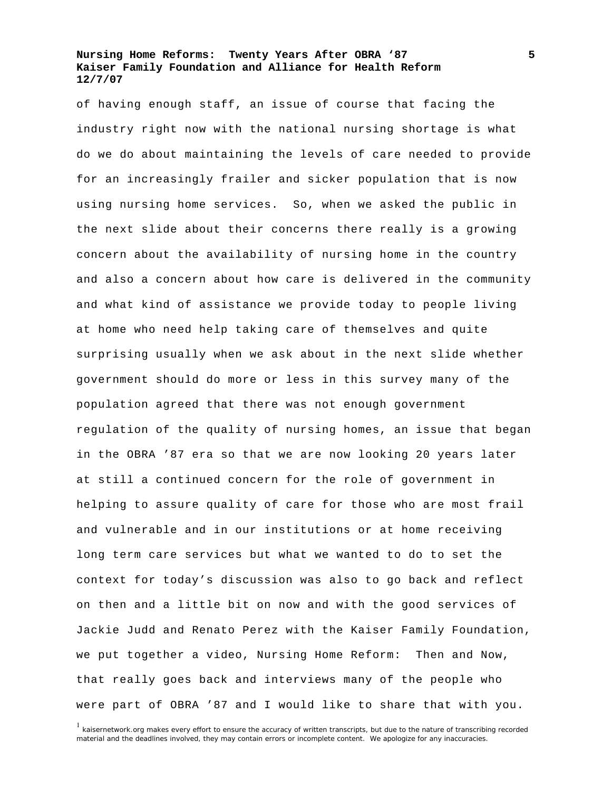of having enough staff, an issue of course that facing the industry right now with the national nursing shortage is what do we do about maintaining the levels of care needed to provide for an increasingly frailer and sicker population that is now using nursing home services. So, when we asked the public in the next slide about their concerns there really is a growing concern about the availability of nursing home in the country and also a concern about how care is delivered in the community and what kind of assistance we provide today to people living at home who need help taking care of themselves and quite surprising usually when we ask about in the next slide whether government should do more or less in this survey many of the population agreed that there was not enough government regulation of the quality of nursing homes, an issue that began in the OBRA '87 era so that we are now looking 20 years later at still a continued concern for the role of government in helping to assure quality of care for those who are most frail and vulnerable and in our institutions or at home receiving long term care services but what we wanted to do to set the context for today's discussion was also to go back and reflect on then and a little bit on now and with the good services of Jackie Judd and Renato Perez with the Kaiser Family Foundation, we put together a video, Nursing Home Reform: Then and Now, that really goes back and interviews many of the people who were part of OBRA '87 and I would like to share that with you.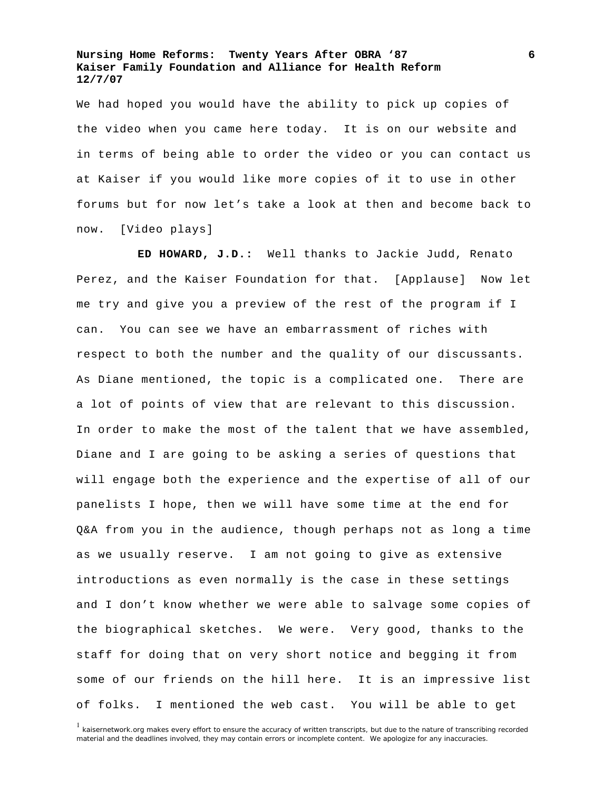We had hoped you would have the ability to pick up copies of the video when you came here today. It is on our website and in terms of being able to order the video or you can contact us at Kaiser if you would like more copies of it to use in other forums but for now let's take a look at then and become back to now. [Video plays]

**ED HOWARD, J.D.:** Well thanks to Jackie Judd, Renato Perez, and the Kaiser Foundation for that. [Applause] Now let me try and give you a preview of the rest of the program if I can. You can see we have an embarrassment of riches with respect to both the number and the quality of our discussants. As Diane mentioned, the topic is a complicated one. There are a lot of points of view that are relevant to this discussion. In order to make the most of the talent that we have assembled, Diane and I are going to be asking a series of questions that will engage both the experience and the expertise of all of our panelists I hope, then we will have some time at the end for Q&A from you in the audience, though perhaps not as long a time as we usually reserve. I am not going to give as extensive introductions as even normally is the case in these settings and I don't know whether we were able to salvage some copies of the biographical sketches. We were. Very good, thanks to the staff for doing that on very short notice and begging it from some of our friends on the hill here. It is an impressive list of folks. I mentioned the web cast. You will be able to get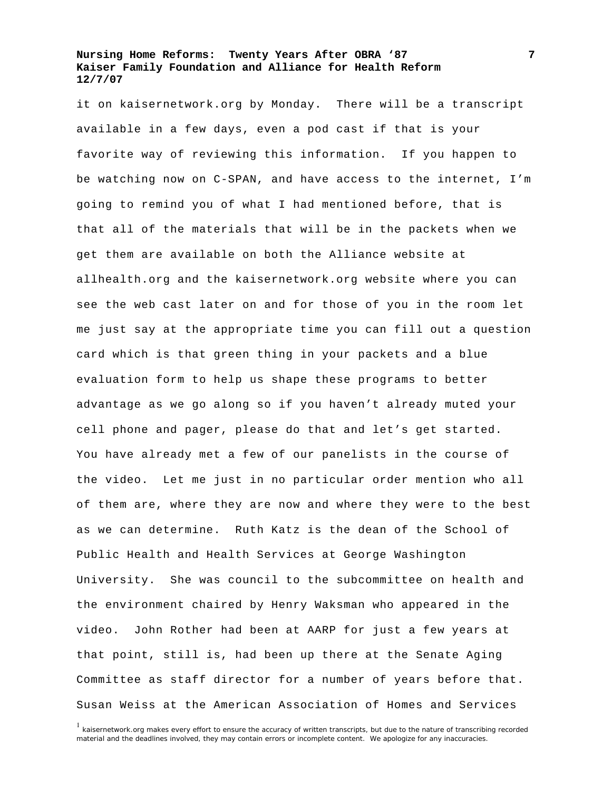it on kaisernetwork.org by Monday. There will be a transcript available in a few days, even a pod cast if that is your favorite way of reviewing this information. If you happen to be watching now on C-SPAN, and have access to the internet, I'm going to remind you of what I had mentioned before, that is that all of the materials that will be in the packets when we get them are available on both the Alliance website at allhealth.org and the kaisernetwork.org website where you can see the web cast later on and for those of you in the room let me just say at the appropriate time you can fill out a question card which is that green thing in your packets and a blue evaluation form to help us shape these programs to better advantage as we go along so if you haven't already muted your cell phone and pager, please do that and let's get started. You have already met a few of our panelists in the course of the video. Let me just in no particular order mention who all of them are, where they are now and where they were to the best as we can determine. Ruth Katz is the dean of the School of Public Health and Health Services at George Washington University. She was council to the subcommittee on health and the environment chaired by Henry Waksman who appeared in the video. John Rother had been at AARP for just a few years at that point, still is, had been up there at the Senate Aging Committee as staff director for a number of years before that. Susan Weiss at the American Association of Homes and Services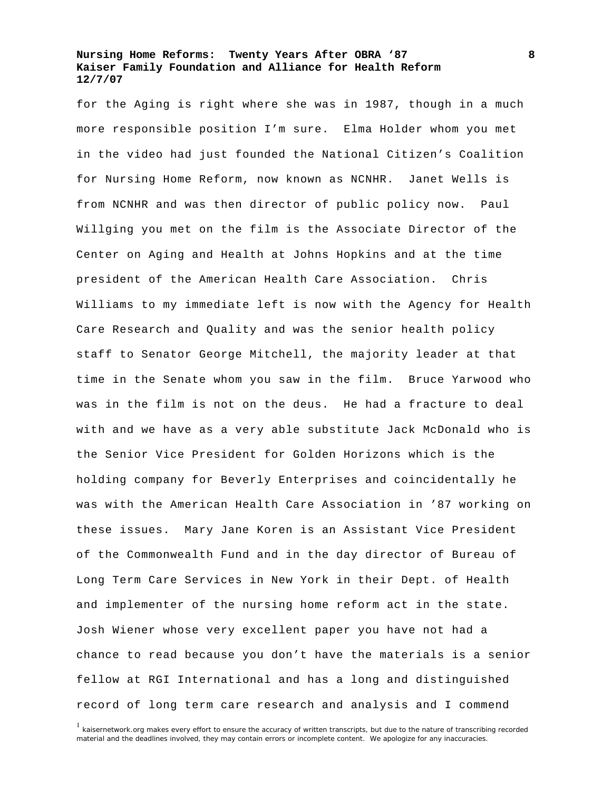for the Aging is right where she was in 1987, though in a much more responsible position I'm sure. Elma Holder whom you met in the video had just founded the National Citizen's Coalition for Nursing Home Reform, now known as NCNHR. Janet Wells is from NCNHR and was then director of public policy now. Paul Willging you met on the film is the Associate Director of the Center on Aging and Health at Johns Hopkins and at the time president of the American Health Care Association. Chris Williams to my immediate left is now with the Agency for Health Care Research and Quality and was the senior health policy staff to Senator George Mitchell, the majority leader at that time in the Senate whom you saw in the film. Bruce Yarwood who was in the film is not on the deus. He had a fracture to deal with and we have as a very able substitute Jack McDonald who is the Senior Vice President for Golden Horizons which is the holding company for Beverly Enterprises and coincidentally he was with the American Health Care Association in '87 working on these issues. Mary Jane Koren is an Assistant Vice President of the Commonwealth Fund and in the day director of Bureau of Long Term Care Services in New York in their Dept. of Health and implementer of the nursing home reform act in the state. Josh Wiener whose very excellent paper you have not had a chance to read because you don't have the materials is a senior fellow at RGI International and has a long and distinguished record of long term care research and analysis and I commend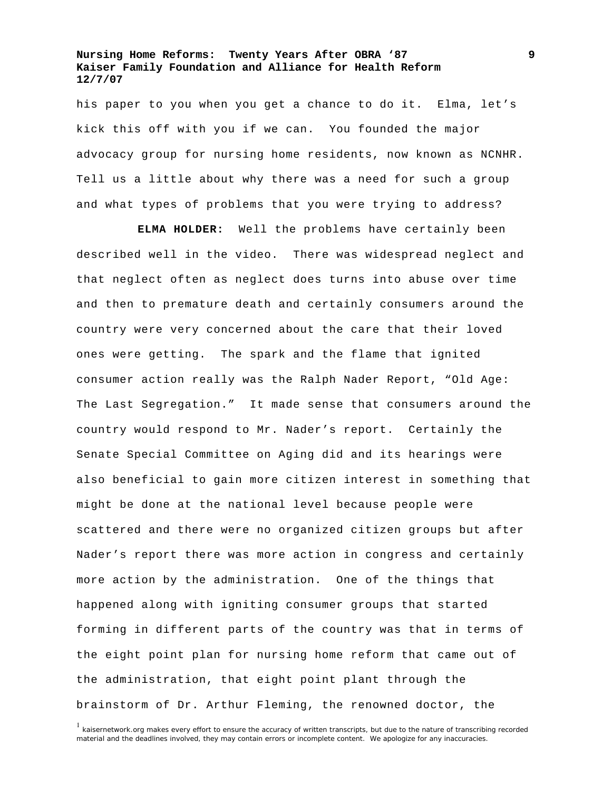his paper to you when you get a chance to do it. Elma, let's kick this off with you if we can. You founded the major advocacy group for nursing home residents, now known as NCNHR. Tell us a little about why there was a need for such a group and what types of problems that you were trying to address?

**ELMA HOLDER:** Well the problems have certainly been described well in the video. There was widespread neglect and that neglect often as neglect does turns into abuse over time and then to premature death and certainly consumers around the country were very concerned about the care that their loved ones were getting. The spark and the flame that ignited consumer action really was the Ralph Nader Report, "Old Age: The Last Segregation." It made sense that consumers around the country would respond to Mr. Nader's report. Certainly the Senate Special Committee on Aging did and its hearings were also beneficial to gain more citizen interest in something that might be done at the national level because people were scattered and there were no organized citizen groups but after Nader's report there was more action in congress and certainly more action by the administration. One of the things that happened along with igniting consumer groups that started forming in different parts of the country was that in terms of the eight point plan for nursing home reform that came out of the administration, that eight point plant through the brainstorm of Dr. Arthur Fleming, the renowned doctor, the

<sup>&</sup>lt;sup>1</sup> kaisernetwork.org makes every effort to ensure the accuracy of written transcripts, but due to the nature of transcribing recorded material and the deadlines involved, they may contain errors or incomplete content. We apologize for any inaccuracies.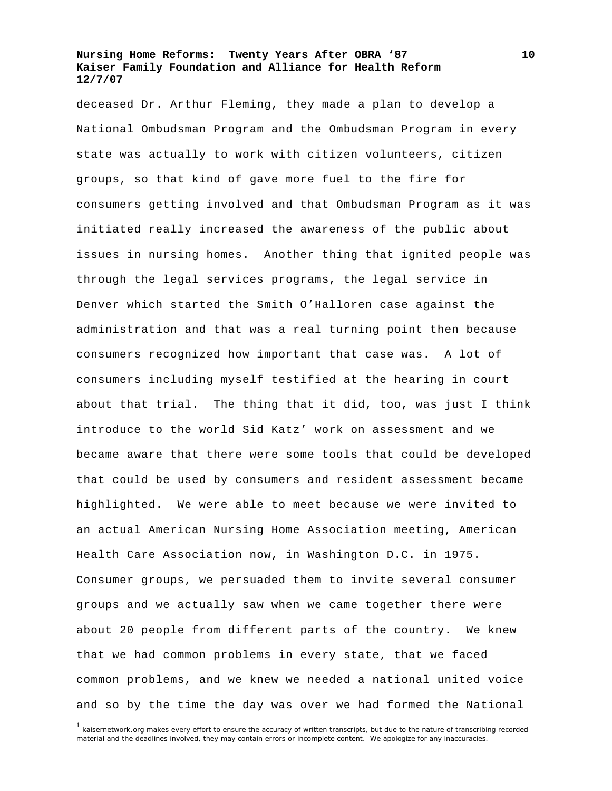deceased Dr. Arthur Fleming, they made a plan to develop a National Ombudsman Program and the Ombudsman Program in every state was actually to work with citizen volunteers, citizen groups, so that kind of gave more fuel to the fire for consumers getting involved and that Ombudsman Program as it was initiated really increased the awareness of the public about issues in nursing homes. Another thing that ignited people was through the legal services programs, the legal service in Denver which started the Smith O'Halloren case against the administration and that was a real turning point then because consumers recognized how important that case was. A lot of consumers including myself testified at the hearing in court about that trial. The thing that it did, too, was just I think introduce to the world Sid Katz' work on assessment and we became aware that there were some tools that could be developed that could be used by consumers and resident assessment became highlighted. We were able to meet because we were invited to an actual American Nursing Home Association meeting, American Health Care Association now, in Washington D.C. in 1975. Consumer groups, we persuaded them to invite several consumer groups and we actually saw when we came together there were about 20 people from different parts of the country. We knew that we had common problems in every state, that we faced common problems, and we knew we needed a national united voice and so by the time the day was over we had formed the National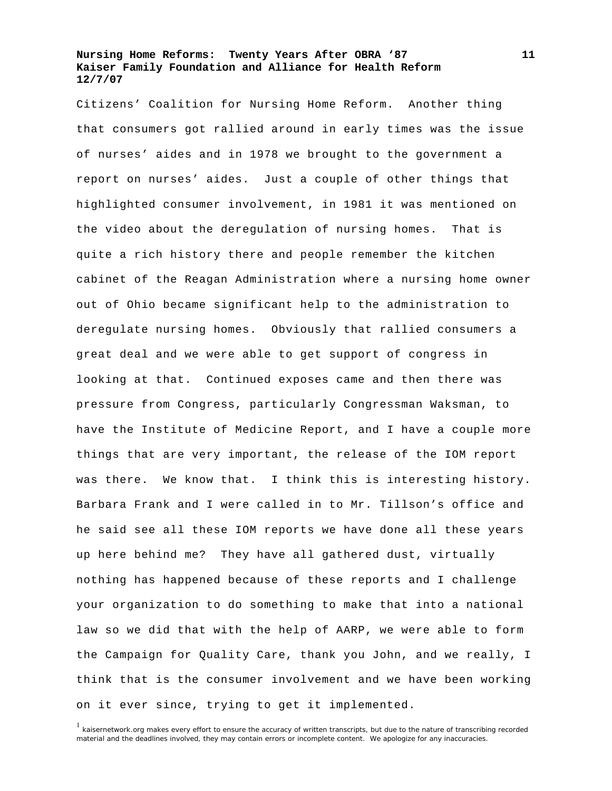Citizens' Coalition for Nursing Home Reform. Another thing that consumers got rallied around in early times was the issue of nurses' aides and in 1978 we brought to the government a report on nurses' aides. Just a couple of other things that highlighted consumer involvement, in 1981 it was mentioned on the video about the deregulation of nursing homes. That is quite a rich history there and people remember the kitchen cabinet of the Reagan Administration where a nursing home owner out of Ohio became significant help to the administration to deregulate nursing homes. Obviously that rallied consumers a great deal and we were able to get support of congress in looking at that. Continued exposes came and then there was pressure from Congress, particularly Congressman Waksman, to have the Institute of Medicine Report, and I have a couple more things that are very important, the release of the IOM report was there. We know that. I think this is interesting history. Barbara Frank and I were called in to Mr. Tillson's office and he said see all these IOM reports we have done all these years up here behind me? They have all gathered dust, virtually nothing has happened because of these reports and I challenge your organization to do something to make that into a national law so we did that with the help of AARP, we were able to form the Campaign for Quality Care, thank you John, and we really, I think that is the consumer involvement and we have been working on it ever since, trying to get it implemented.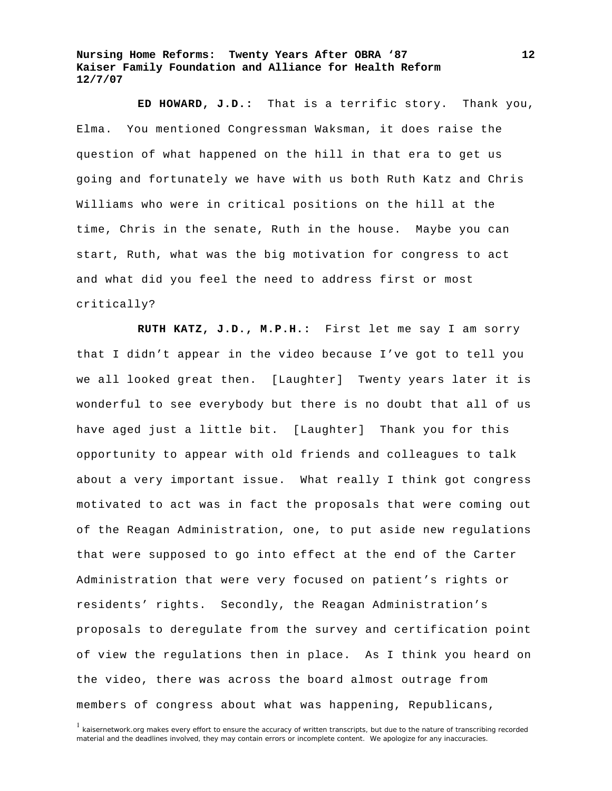**ED HOWARD, J.D.:** That is a terrific story. Thank you, Elma. You mentioned Congressman Waksman, it does raise the question of what happened on the hill in that era to get us going and fortunately we have with us both Ruth Katz and Chris Williams who were in critical positions on the hill at the time, Chris in the senate, Ruth in the house. Maybe you can start, Ruth, what was the big motivation for congress to act and what did you feel the need to address first or most critically?

**RUTH KATZ, J.D., M.P.H.:** First let me say I am sorry that I didn't appear in the video because I've got to tell you we all looked great then. [Laughter] Twenty years later it is wonderful to see everybody but there is no doubt that all of us have aged just a little bit. [Laughter] Thank you for this opportunity to appear with old friends and colleagues to talk about a very important issue. What really I think got congress motivated to act was in fact the proposals that were coming out of the Reagan Administration, one, to put aside new regulations that were supposed to go into effect at the end of the Carter Administration that were very focused on patient's rights or residents' rights. Secondly, the Reagan Administration's proposals to deregulate from the survey and certification point of view the regulations then in place. As I think you heard on the video, there was across the board almost outrage from members of congress about what was happening, Republicans,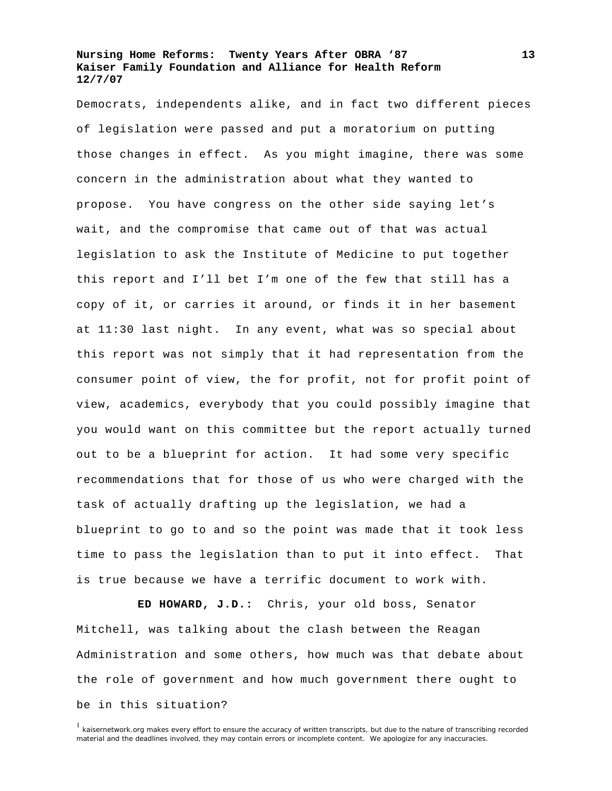Democrats, independents alike, and in fact two different pieces of legislation were passed and put a moratorium on putting those changes in effect. As you might imagine, there was some concern in the administration about what they wanted to propose. You have congress on the other side saying let's wait, and the compromise that came out of that was actual legislation to ask the Institute of Medicine to put together this report and I'll bet I'm one of the few that still has a copy of it, or carries it around, or finds it in her basement at 11:30 last night. In any event, what was so special about this report was not simply that it had representation from the consumer point of view, the for profit, not for profit point of view, academics, everybody that you could possibly imagine that you would want on this committee but the report actually turned out to be a blueprint for action. It had some very specific recommendations that for those of us who were charged with the task of actually drafting up the legislation, we had a blueprint to go to and so the point was made that it took less time to pass the legislation than to put it into effect. That is true because we have a terrific document to work with.

**ED HOWARD, J.D.:** Chris, your old boss, Senator Mitchell, was talking about the clash between the Reagan Administration and some others, how much was that debate about the role of government and how much government there ought to be in this situation?

<sup>&</sup>lt;sup>1</sup> kaisernetwork.org makes every effort to ensure the accuracy of written transcripts, but due to the nature of transcribing recorded material and the deadlines involved, they may contain errors or incomplete content. We apologize for any inaccuracies.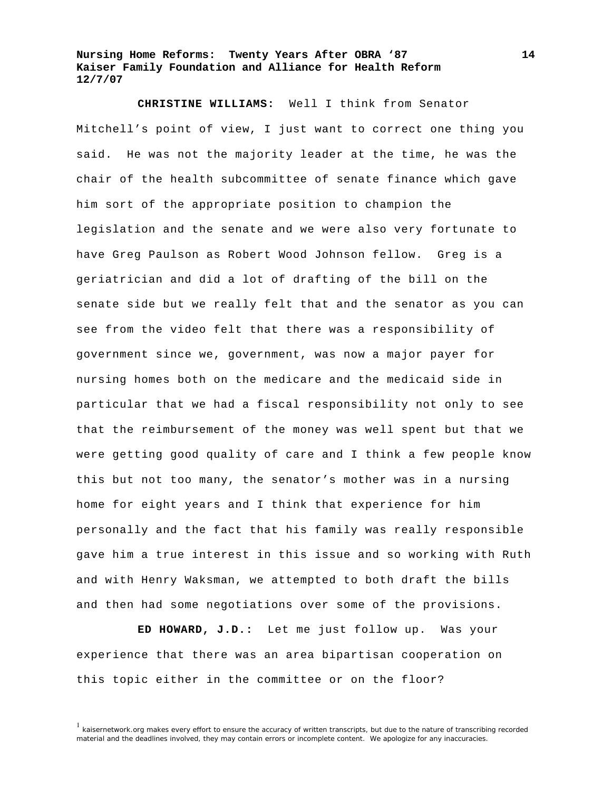**CHRISTINE WILLIAMS:** Well I think from Senator Mitchell's point of view, I just want to correct one thing you said. He was not the majority leader at the time, he was the chair of the health subcommittee of senate finance which gave him sort of the appropriate position to champion the legislation and the senate and we were also very fortunate to have Greg Paulson as Robert Wood Johnson fellow. Greg is a geriatrician and did a lot of drafting of the bill on the senate side but we really felt that and the senator as you can see from the video felt that there was a responsibility of government since we, government, was now a major payer for nursing homes both on the medicare and the medicaid side in particular that we had a fiscal responsibility not only to see that the reimbursement of the money was well spent but that we were getting good quality of care and I think a few people know this but not too many, the senator's mother was in a nursing home for eight years and I think that experience for him personally and the fact that his family was really responsible gave him a true interest in this issue and so working with Ruth and with Henry Waksman, we attempted to both draft the bills and then had some negotiations over some of the provisions.

**ED HOWARD, J.D.:** Let me just follow up. Was your experience that there was an area bipartisan cooperation on this topic either in the committee or on the floor?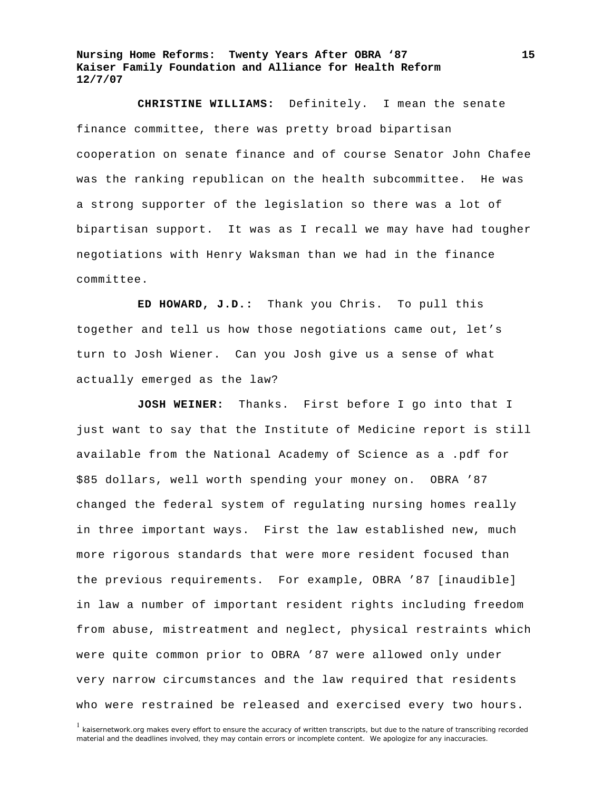**CHRISTINE WILLIAMS:** Definitely. I mean the senate finance committee, there was pretty broad bipartisan cooperation on senate finance and of course Senator John Chafee was the ranking republican on the health subcommittee. He was a strong supporter of the legislation so there was a lot of bipartisan support. It was as I recall we may have had tougher negotiations with Henry Waksman than we had in the finance committee.

**ED HOWARD, J.D.:** Thank you Chris. To pull this together and tell us how those negotiations came out, let's turn to Josh Wiener. Can you Josh give us a sense of what actually emerged as the law?

**JOSH WEINER:** Thanks. First before I go into that I just want to say that the Institute of Medicine report is still available from the National Academy of Science as a .pdf for \$85 dollars, well worth spending your money on. OBRA '87 changed the federal system of regulating nursing homes really in three important ways. First the law established new, much more rigorous standards that were more resident focused than the previous requirements. For example, OBRA '87 [inaudible] in law a number of important resident rights including freedom from abuse, mistreatment and neglect, physical restraints which were quite common prior to OBRA '87 were allowed only under very narrow circumstances and the law required that residents who were restrained be released and exercised every two hours.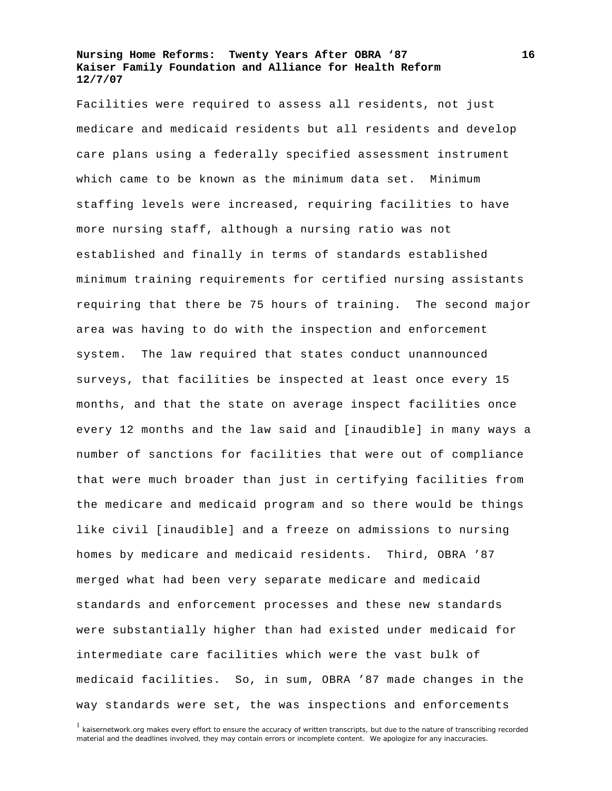Facilities were required to assess all residents, not just medicare and medicaid residents but all residents and develop care plans using a federally specified assessment instrument which came to be known as the minimum data set. Minimum staffing levels were increased, requiring facilities to have more nursing staff, although a nursing ratio was not established and finally in terms of standards established minimum training requirements for certified nursing assistants requiring that there be 75 hours of training. The second major area was having to do with the inspection and enforcement system. The law required that states conduct unannounced surveys, that facilities be inspected at least once every 15 months, and that the state on average inspect facilities once every 12 months and the law said and [inaudible] in many ways a number of sanctions for facilities that were out of compliance that were much broader than just in certifying facilities from the medicare and medicaid program and so there would be things like civil [inaudible] and a freeze on admissions to nursing homes by medicare and medicaid residents. Third, OBRA '87 merged what had been very separate medicare and medicaid standards and enforcement processes and these new standards were substantially higher than had existed under medicaid for intermediate care facilities which were the vast bulk of medicaid facilities. So, in sum, OBRA '87 made changes in the way standards were set, the was inspections and enforcements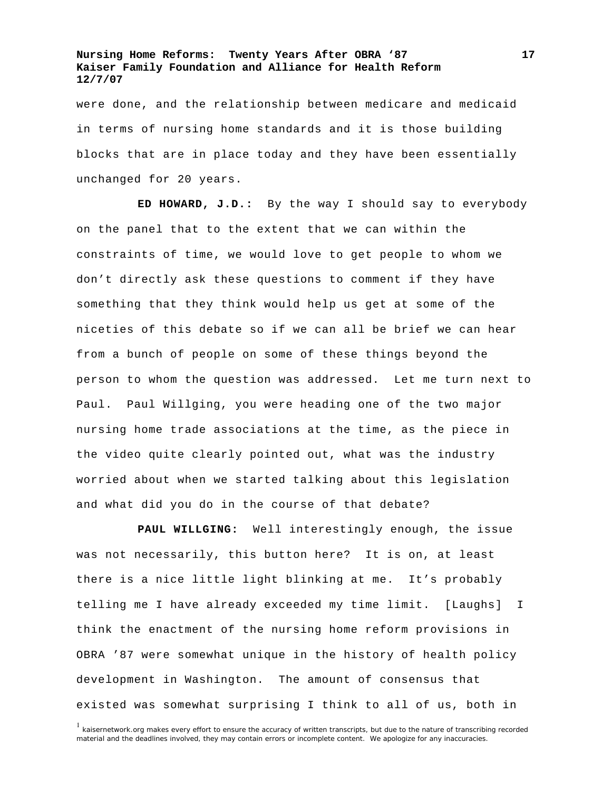were done, and the relationship between medicare and medicaid in terms of nursing home standards and it is those building blocks that are in place today and they have been essentially unchanged for 20 years.

**ED HOWARD, J.D.:** By the way I should say to everybody on the panel that to the extent that we can within the constraints of time, we would love to get people to whom we don't directly ask these questions to comment if they have something that they think would help us get at some of the niceties of this debate so if we can all be brief we can hear from a bunch of people on some of these things beyond the person to whom the question was addressed. Let me turn next to Paul. Paul Willging, you were heading one of the two major nursing home trade associations at the time, as the piece in the video quite clearly pointed out, what was the industry worried about when we started talking about this legislation and what did you do in the course of that debate?

**PAUL WILLGING:** Well interestingly enough, the issue was not necessarily, this button here? It is on, at least there is a nice little light blinking at me. It's probably telling me I have already exceeded my time limit. [Laughs] I think the enactment of the nursing home reform provisions in OBRA '87 were somewhat unique in the history of health policy development in Washington. The amount of consensus that existed was somewhat surprising I think to all of us, both in

<sup>&</sup>lt;sup>1</sup> kaisernetwork.org makes every effort to ensure the accuracy of written transcripts, but due to the nature of transcribing recorded material and the deadlines involved, they may contain errors or incomplete content. We apologize for any inaccuracies.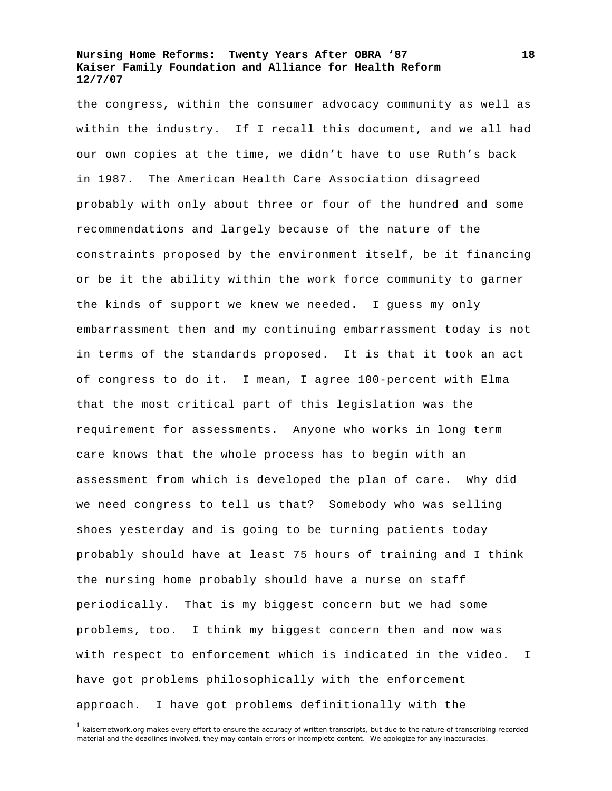the congress, within the consumer advocacy community as well as within the industry. If I recall this document, and we all had our own copies at the time, we didn't have to use Ruth's back in 1987. The American Health Care Association disagreed probably with only about three or four of the hundred and some recommendations and largely because of the nature of the constraints proposed by the environment itself, be it financing or be it the ability within the work force community to garner the kinds of support we knew we needed. I guess my only embarrassment then and my continuing embarrassment today is not in terms of the standards proposed. It is that it took an act of congress to do it. I mean, I agree 100-percent with Elma that the most critical part of this legislation was the requirement for assessments. Anyone who works in long term care knows that the whole process has to begin with an assessment from which is developed the plan of care. Why did we need congress to tell us that? Somebody who was selling shoes yesterday and is going to be turning patients today probably should have at least 75 hours of training and I think the nursing home probably should have a nurse on staff periodically. That is my biggest concern but we had some problems, too. I think my biggest concern then and now was with respect to enforcement which is indicated in the video. I have got problems philosophically with the enforcement approach. I have got problems definitionally with the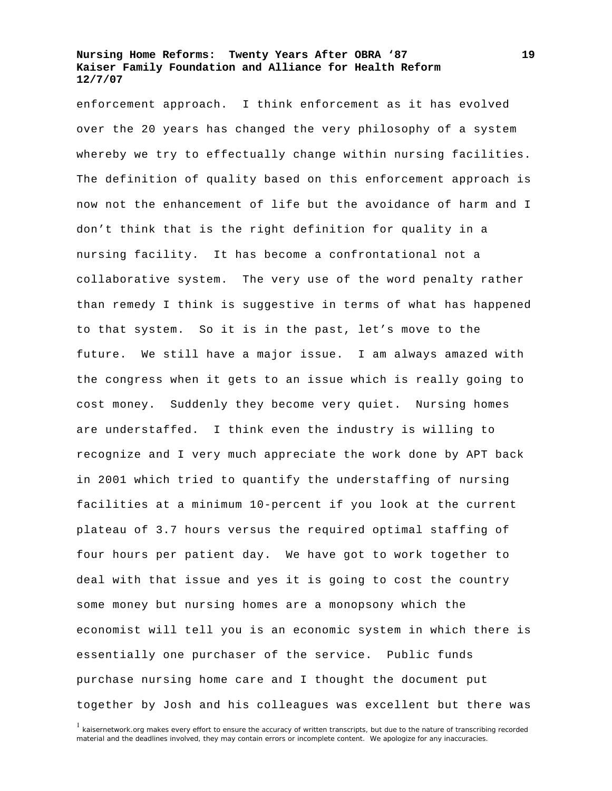enforcement approach. I think enforcement as it has evolved over the 20 years has changed the very philosophy of a system whereby we try to effectually change within nursing facilities. The definition of quality based on this enforcement approach is now not the enhancement of life but the avoidance of harm and I don't think that is the right definition for quality in a nursing facility. It has become a confrontational not a collaborative system. The very use of the word penalty rather than remedy I think is suggestive in terms of what has happened to that system. So it is in the past, let's move to the future. We still have a major issue. I am always amazed with the congress when it gets to an issue which is really going to cost money. Suddenly they become very quiet. Nursing homes are understaffed. I think even the industry is willing to recognize and I very much appreciate the work done by APT back in 2001 which tried to quantify the understaffing of nursing facilities at a minimum 10-percent if you look at the current plateau of 3.7 hours versus the required optimal staffing of four hours per patient day. We have got to work together to deal with that issue and yes it is going to cost the country some money but nursing homes are a monopsony which the economist will tell you is an economic system in which there is essentially one purchaser of the service. Public funds purchase nursing home care and I thought the document put together by Josh and his colleagues was excellent but there was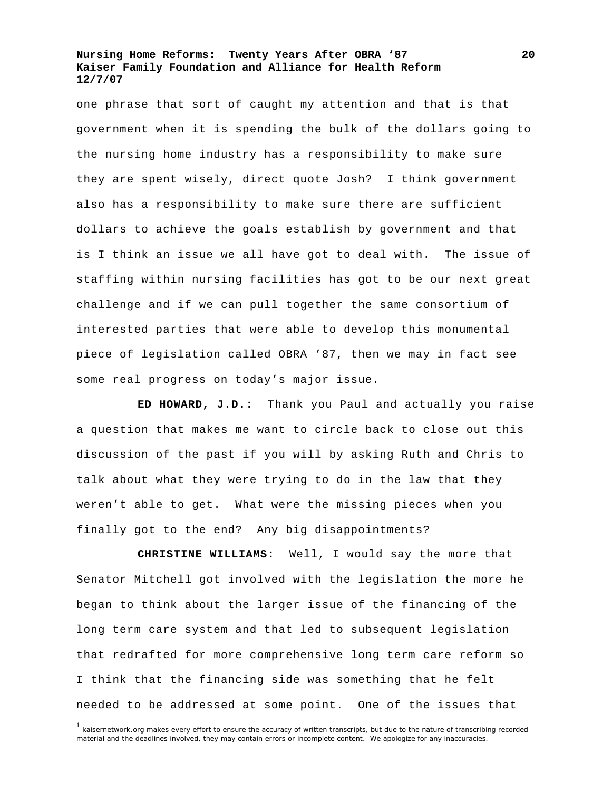one phrase that sort of caught my attention and that is that government when it is spending the bulk of the dollars going to the nursing home industry has a responsibility to make sure they are spent wisely, direct quote Josh? I think government also has a responsibility to make sure there are sufficient dollars to achieve the goals establish by government and that is I think an issue we all have got to deal with. The issue of staffing within nursing facilities has got to be our next great challenge and if we can pull together the same consortium of interested parties that were able to develop this monumental piece of legislation called OBRA '87, then we may in fact see some real progress on today's major issue.

**ED HOWARD, J.D.:** Thank you Paul and actually you raise a question that makes me want to circle back to close out this discussion of the past if you will by asking Ruth and Chris to talk about what they were trying to do in the law that they weren't able to get. What were the missing pieces when you finally got to the end? Any big disappointments?

**CHRISTINE WILLIAMS:** Well, I would say the more that Senator Mitchell got involved with the legislation the more he began to think about the larger issue of the financing of the long term care system and that led to subsequent legislation that redrafted for more comprehensive long term care reform so I think that the financing side was something that he felt needed to be addressed at some point. One of the issues that

<sup>&</sup>lt;sup>1</sup> kaisernetwork.org makes every effort to ensure the accuracy of written transcripts, but due to the nature of transcribing recorded material and the deadlines involved, they may contain errors or incomplete content. We apologize for any inaccuracies.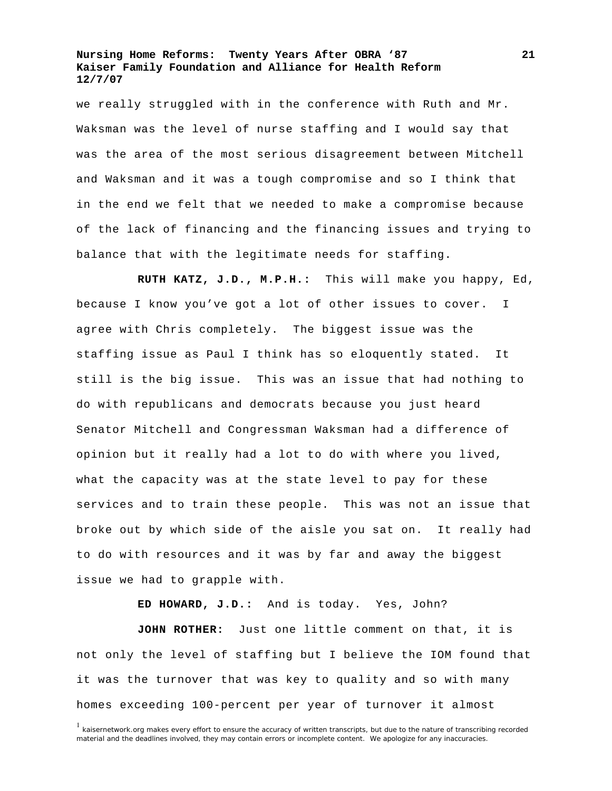we really struggled with in the conference with Ruth and Mr. Waksman was the level of nurse staffing and I would say that was the area of the most serious disagreement between Mitchell and Waksman and it was a tough compromise and so I think that in the end we felt that we needed to make a compromise because of the lack of financing and the financing issues and trying to balance that with the legitimate needs for staffing.

**RUTH KATZ, J.D., M.P.H.:** This will make you happy, Ed, because I know you've got a lot of other issues to cover. I agree with Chris completely. The biggest issue was the staffing issue as Paul I think has so eloquently stated. It still is the big issue. This was an issue that had nothing to do with republicans and democrats because you just heard Senator Mitchell and Congressman Waksman had a difference of opinion but it really had a lot to do with where you lived, what the capacity was at the state level to pay for these services and to train these people. This was not an issue that broke out by which side of the aisle you sat on. It really had to do with resources and it was by far and away the biggest issue we had to grapple with.

**ED HOWARD, J.D.:** And is today. Yes, John?

**JOHN ROTHER:** Just one little comment on that, it is not only the level of staffing but I believe the IOM found that it was the turnover that was key to quality and so with many homes exceeding 100-percent per year of turnover it almost

<sup>&</sup>lt;sup>1</sup> kaisernetwork.org makes every effort to ensure the accuracy of written transcripts, but due to the nature of transcribing recorded material and the deadlines involved, they may contain errors or incomplete content. We apologize for any inaccuracies.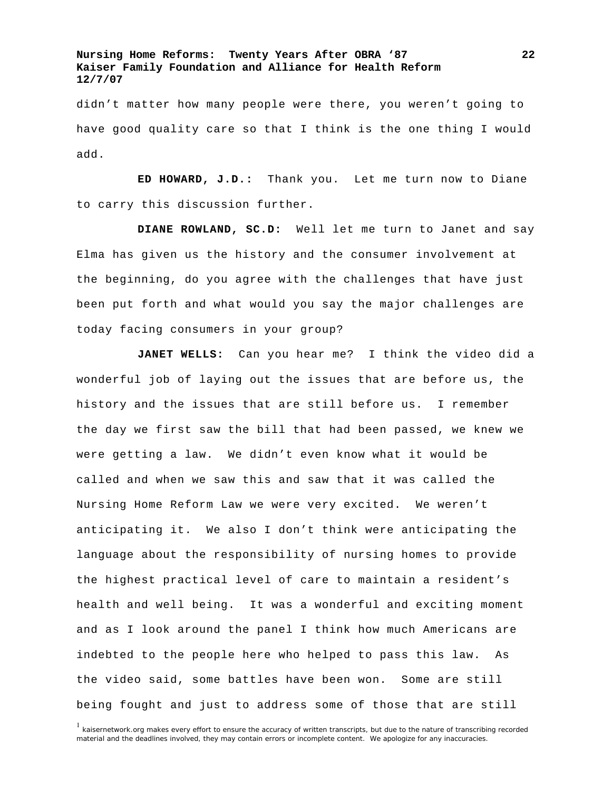didn't matter how many people were there, you weren't going to have good quality care so that I think is the one thing I would add.

**ED HOWARD, J.D.:** Thank you. Let me turn now to Diane to carry this discussion further.

**DIANE ROWLAND, SC.D:** Well let me turn to Janet and say Elma has given us the history and the consumer involvement at the beginning, do you agree with the challenges that have just been put forth and what would you say the major challenges are today facing consumers in your group?

**JANET WELLS:** Can you hear me? I think the video did a wonderful job of laying out the issues that are before us, the history and the issues that are still before us. I remember the day we first saw the bill that had been passed, we knew we were getting a law. We didn't even know what it would be called and when we saw this and saw that it was called the Nursing Home Reform Law we were very excited. We weren't anticipating it. We also I don't think were anticipating the language about the responsibility of nursing homes to provide the highest practical level of care to maintain a resident's health and well being. It was a wonderful and exciting moment and as I look around the panel I think how much Americans are indebted to the people here who helped to pass this law. As the video said, some battles have been won. Some are still being fought and just to address some of those that are still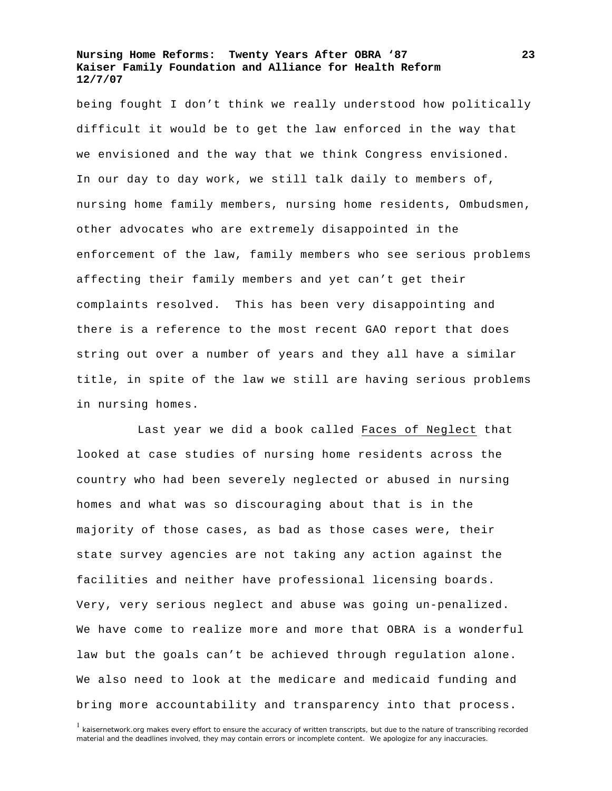being fought I don't think we really understood how politically difficult it would be to get the law enforced in the way that we envisioned and the way that we think Congress envisioned. In our day to day work, we still talk daily to members of, nursing home family members, nursing home residents, Ombudsmen, other advocates who are extremely disappointed in the enforcement of the law, family members who see serious problems affecting their family members and yet can't get their complaints resolved. This has been very disappointing and there is a reference to the most recent GAO report that does string out over a number of years and they all have a similar title, in spite of the law we still are having serious problems in nursing homes.

Last year we did a book called Faces of Neglect that looked at case studies of nursing home residents across the country who had been severely neglected or abused in nursing homes and what was so discouraging about that is in the majority of those cases, as bad as those cases were, their state survey agencies are not taking any action against the facilities and neither have professional licensing boards. Very, very serious neglect and abuse was going un-penalized. We have come to realize more and more that OBRA is a wonderful law but the goals can't be achieved through regulation alone. We also need to look at the medicare and medicaid funding and bring more accountability and transparency into that process.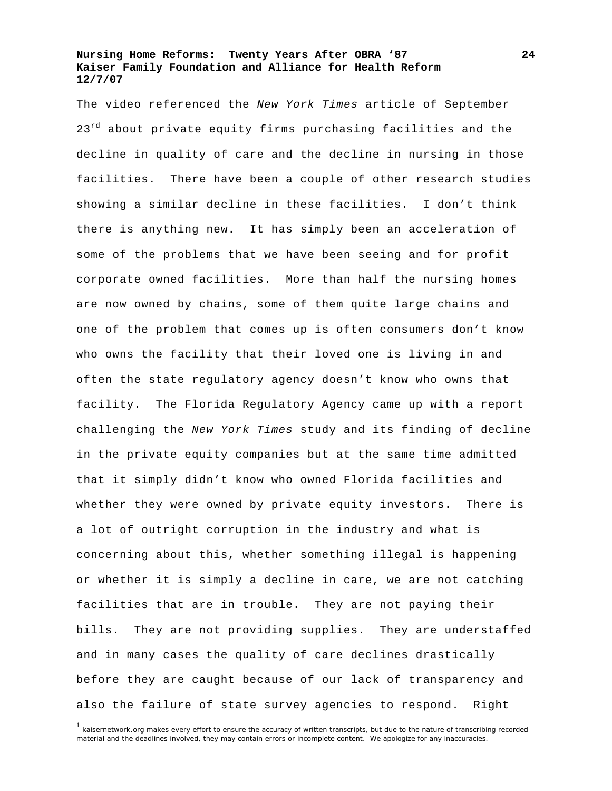The video referenced the *New York Times* article of September 23<sup>rd</sup> about private equity firms purchasing facilities and the decline in quality of care and the decline in nursing in those facilities. There have been a couple of other research studies showing a similar decline in these facilities. I don't think there is anything new. It has simply been an acceleration of some of the problems that we have been seeing and for profit corporate owned facilities. More than half the nursing homes are now owned by chains, some of them quite large chains and one of the problem that comes up is often consumers don't know who owns the facility that their loved one is living in and often the state regulatory agency doesn't know who owns that facility. The Florida Regulatory Agency came up with a report challenging the *New York Times* study and its finding of decline in the private equity companies but at the same time admitted that it simply didn't know who owned Florida facilities and whether they were owned by private equity investors. There is a lot of outright corruption in the industry and what is concerning about this, whether something illegal is happening or whether it is simply a decline in care, we are not catching facilities that are in trouble. They are not paying their bills. They are not providing supplies. They are understaffed and in many cases the quality of care declines drastically before they are caught because of our lack of transparency and also the failure of state survey agencies to respond. Right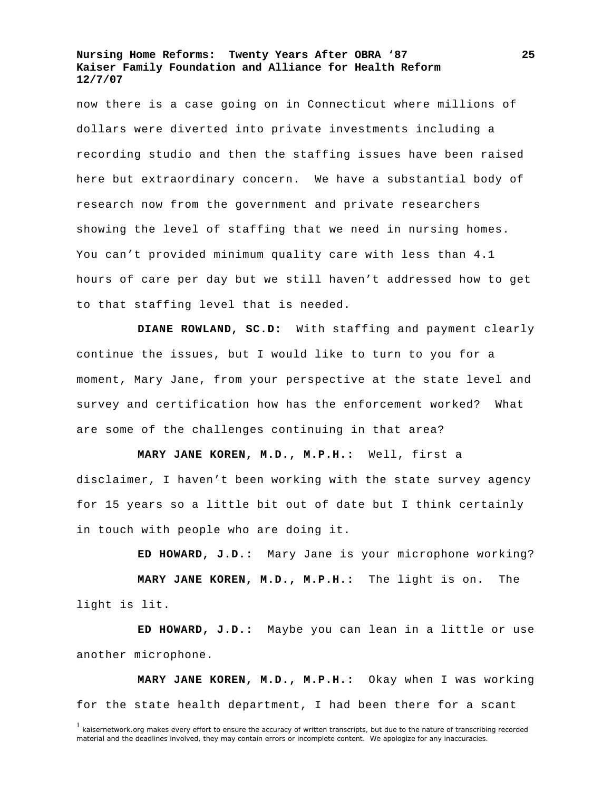now there is a case going on in Connecticut where millions of dollars were diverted into private investments including a recording studio and then the staffing issues have been raised here but extraordinary concern. We have a substantial body of research now from the government and private researchers showing the level of staffing that we need in nursing homes. You can't provided minimum quality care with less than 4.1 hours of care per day but we still haven't addressed how to get to that staffing level that is needed.

**DIANE ROWLAND, SC.D:** With staffing and payment clearly continue the issues, but I would like to turn to you for a moment, Mary Jane, from your perspective at the state level and survey and certification how has the enforcement worked? What are some of the challenges continuing in that area?

**MARY JANE KOREN, M.D., M.P.H.:** Well, first a disclaimer, I haven't been working with the state survey agency for 15 years so a little bit out of date but I think certainly in touch with people who are doing it.

**ED HOWARD, J.D.:** Mary Jane is your microphone working?

**MARY JANE KOREN, M.D., M.P.H.:** The light is on. The light is lit.

**ED HOWARD, J.D.:** Maybe you can lean in a little or use another microphone.

**MARY JANE KOREN, M.D., M.P.H.:** Okay when I was working for the state health department, I had been there for a scant

<sup>&</sup>lt;sup>1</sup> kaisernetwork.org makes every effort to ensure the accuracy of written transcripts, but due to the nature of transcribing recorded material and the deadlines involved, they may contain errors or incomplete content. We apologize for any inaccuracies.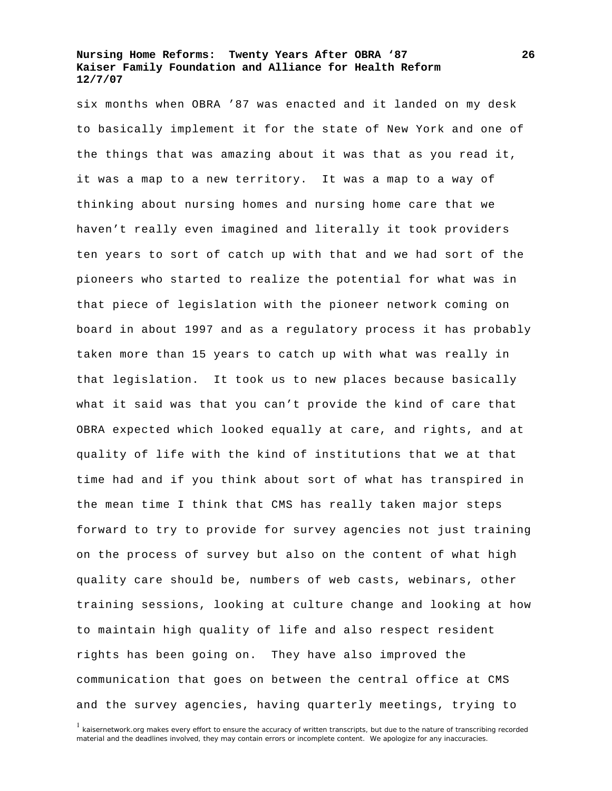six months when OBRA '87 was enacted and it landed on my desk to basically implement it for the state of New York and one of the things that was amazing about it was that as you read it, it was a map to a new territory. It was a map to a way of thinking about nursing homes and nursing home care that we haven't really even imagined and literally it took providers ten years to sort of catch up with that and we had sort of the pioneers who started to realize the potential for what was in that piece of legislation with the pioneer network coming on board in about 1997 and as a regulatory process it has probably taken more than 15 years to catch up with what was really in that legislation. It took us to new places because basically what it said was that you can't provide the kind of care that OBRA expected which looked equally at care, and rights, and at quality of life with the kind of institutions that we at that time had and if you think about sort of what has transpired in the mean time I think that CMS has really taken major steps forward to try to provide for survey agencies not just training on the process of survey but also on the content of what high quality care should be, numbers of web casts, webinars, other training sessions, looking at culture change and looking at how to maintain high quality of life and also respect resident rights has been going on. They have also improved the communication that goes on between the central office at CMS and the survey agencies, having quarterly meetings, trying to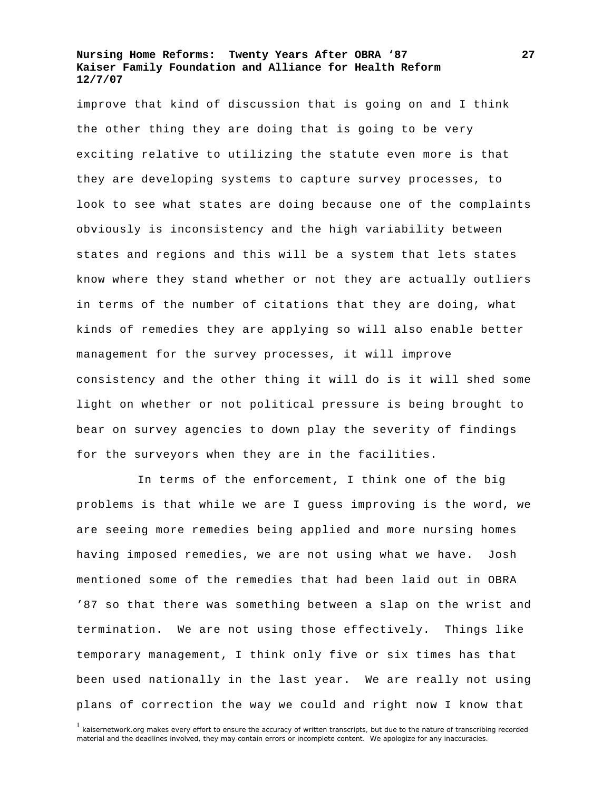improve that kind of discussion that is going on and I think the other thing they are doing that is going to be very exciting relative to utilizing the statute even more is that they are developing systems to capture survey processes, to look to see what states are doing because one of the complaints obviously is inconsistency and the high variability between states and regions and this will be a system that lets states know where they stand whether or not they are actually outliers in terms of the number of citations that they are doing, what kinds of remedies they are applying so will also enable better management for the survey processes, it will improve consistency and the other thing it will do is it will shed some light on whether or not political pressure is being brought to bear on survey agencies to down play the severity of findings for the surveyors when they are in the facilities.

In terms of the enforcement, I think one of the big problems is that while we are I guess improving is the word, we are seeing more remedies being applied and more nursing homes having imposed remedies, we are not using what we have. Josh mentioned some of the remedies that had been laid out in OBRA '87 so that there was something between a slap on the wrist and termination. We are not using those effectively. Things like temporary management, I think only five or six times has that been used nationally in the last year. We are really not using plans of correction the way we could and right now I know that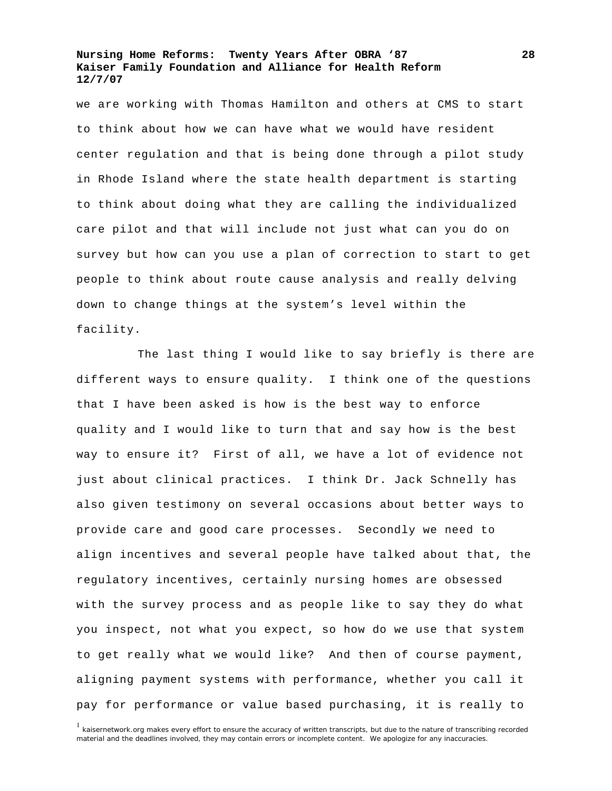we are working with Thomas Hamilton and others at CMS to start to think about how we can have what we would have resident center regulation and that is being done through a pilot study in Rhode Island where the state health department is starting to think about doing what they are calling the individualized care pilot and that will include not just what can you do on survey but how can you use a plan of correction to start to get people to think about route cause analysis and really delving down to change things at the system's level within the facility.

The last thing I would like to say briefly is there are different ways to ensure quality. I think one of the questions that I have been asked is how is the best way to enforce quality and I would like to turn that and say how is the best way to ensure it? First of all, we have a lot of evidence not just about clinical practices. I think Dr. Jack Schnelly has also given testimony on several occasions about better ways to provide care and good care processes. Secondly we need to align incentives and several people have talked about that, the regulatory incentives, certainly nursing homes are obsessed with the survey process and as people like to say they do what you inspect, not what you expect, so how do we use that system to get really what we would like? And then of course payment, aligning payment systems with performance, whether you call it pay for performance or value based purchasing, it is really to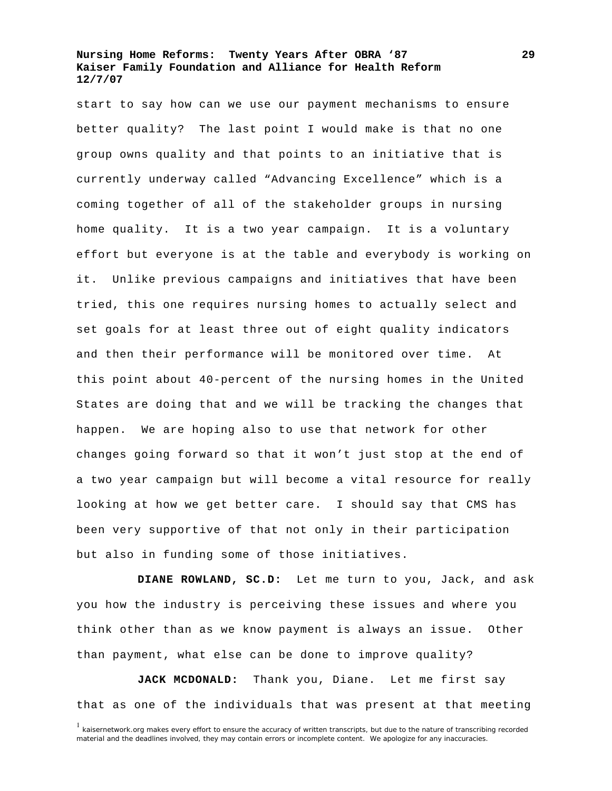start to say how can we use our payment mechanisms to ensure better quality? The last point I would make is that no one group owns quality and that points to an initiative that is currently underway called "Advancing Excellence" which is a coming together of all of the stakeholder groups in nursing home quality. It is a two year campaign. It is a voluntary effort but everyone is at the table and everybody is working on it. Unlike previous campaigns and initiatives that have been tried, this one requires nursing homes to actually select and set goals for at least three out of eight quality indicators and then their performance will be monitored over time. At this point about 40-percent of the nursing homes in the United States are doing that and we will be tracking the changes that happen. We are hoping also to use that network for other changes going forward so that it won't just stop at the end of a two year campaign but will become a vital resource for really looking at how we get better care. I should say that CMS has been very supportive of that not only in their participation but also in funding some of those initiatives.

**DIANE ROWLAND, SC.D:** Let me turn to you, Jack, and ask you how the industry is perceiving these issues and where you think other than as we know payment is always an issue. Other than payment, what else can be done to improve quality?

**JACK MCDONALD:** Thank you, Diane. Let me first say that as one of the individuals that was present at that meeting

 $1$  kaisernetwork.org makes every effort to ensure the accuracy of written transcripts, but due to the nature of transcribing recorded material and the deadlines involved, they may contain errors or incomplete content. We apologize for any inaccuracies.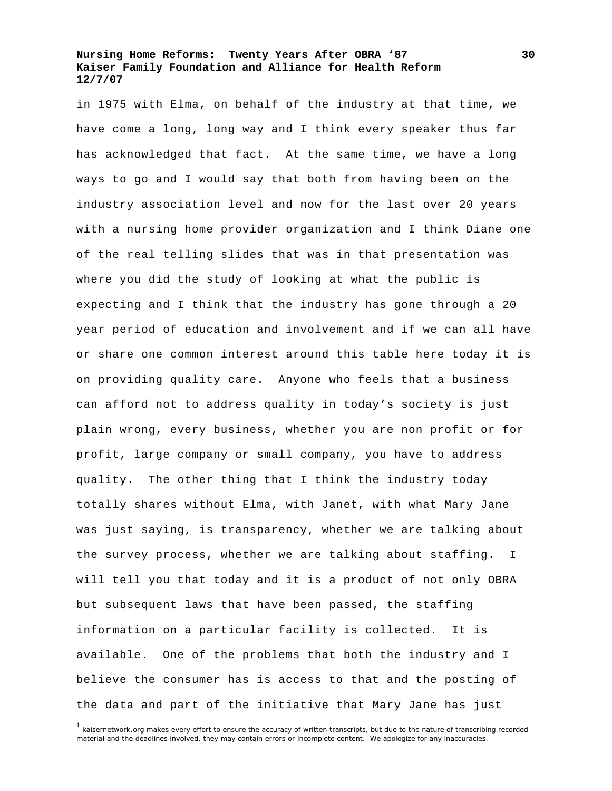in 1975 with Elma, on behalf of the industry at that time, we have come a long, long way and I think every speaker thus far has acknowledged that fact. At the same time, we have a long ways to go and I would say that both from having been on the industry association level and now for the last over 20 years with a nursing home provider organization and I think Diane one of the real telling slides that was in that presentation was where you did the study of looking at what the public is expecting and I think that the industry has gone through a 20 year period of education and involvement and if we can all have or share one common interest around this table here today it is on providing quality care. Anyone who feels that a business can afford not to address quality in today's society is just plain wrong, every business, whether you are non profit or for profit, large company or small company, you have to address quality. The other thing that I think the industry today totally shares without Elma, with Janet, with what Mary Jane was just saying, is transparency, whether we are talking about the survey process, whether we are talking about staffing. I will tell you that today and it is a product of not only OBRA but subsequent laws that have been passed, the staffing information on a particular facility is collected. It is available. One of the problems that both the industry and I believe the consumer has is access to that and the posting of the data and part of the initiative that Mary Jane has just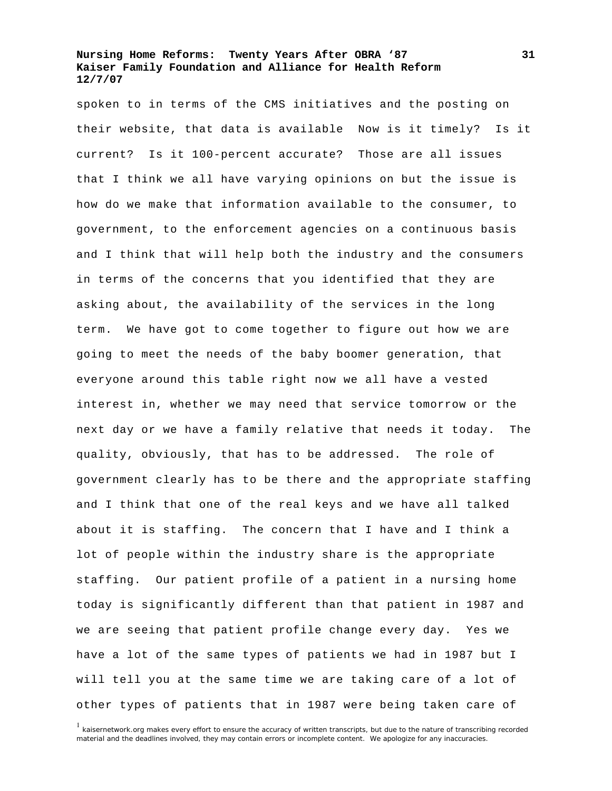spoken to in terms of the CMS initiatives and the posting on their website, that data is available Now is it timely? Is it current? Is it 100-percent accurate? Those are all issues that I think we all have varying opinions on but the issue is how do we make that information available to the consumer, to government, to the enforcement agencies on a continuous basis and I think that will help both the industry and the consumers in terms of the concerns that you identified that they are asking about, the availability of the services in the long term. We have got to come together to figure out how we are going to meet the needs of the baby boomer generation, that everyone around this table right now we all have a vested interest in, whether we may need that service tomorrow or the next day or we have a family relative that needs it today. The quality, obviously, that has to be addressed. The role of government clearly has to be there and the appropriate staffing and I think that one of the real keys and we have all talked about it is staffing. The concern that I have and I think a lot of people within the industry share is the appropriate staffing. Our patient profile of a patient in a nursing home today is significantly different than that patient in 1987 and we are seeing that patient profile change every day. Yes we have a lot of the same types of patients we had in 1987 but I will tell you at the same time we are taking care of a lot of other types of patients that in 1987 were being taken care of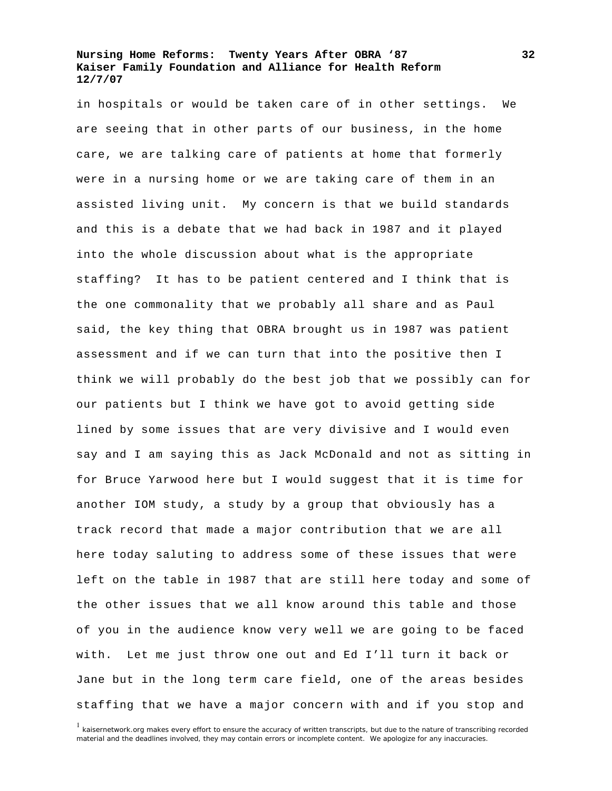in hospitals or would be taken care of in other settings. We are seeing that in other parts of our business, in the home care, we are talking care of patients at home that formerly were in a nursing home or we are taking care of them in an assisted living unit. My concern is that we build standards and this is a debate that we had back in 1987 and it played into the whole discussion about what is the appropriate staffing? It has to be patient centered and I think that is the one commonality that we probably all share and as Paul said, the key thing that OBRA brought us in 1987 was patient assessment and if we can turn that into the positive then I think we will probably do the best job that we possibly can for our patients but I think we have got to avoid getting side lined by some issues that are very divisive and I would even say and I am saying this as Jack McDonald and not as sitting in for Bruce Yarwood here but I would suggest that it is time for another IOM study, a study by a group that obviously has a track record that made a major contribution that we are all here today saluting to address some of these issues that were left on the table in 1987 that are still here today and some of the other issues that we all know around this table and those of you in the audience know very well we are going to be faced with. Let me just throw one out and Ed I'll turn it back or Jane but in the long term care field, one of the areas besides staffing that we have a major concern with and if you stop and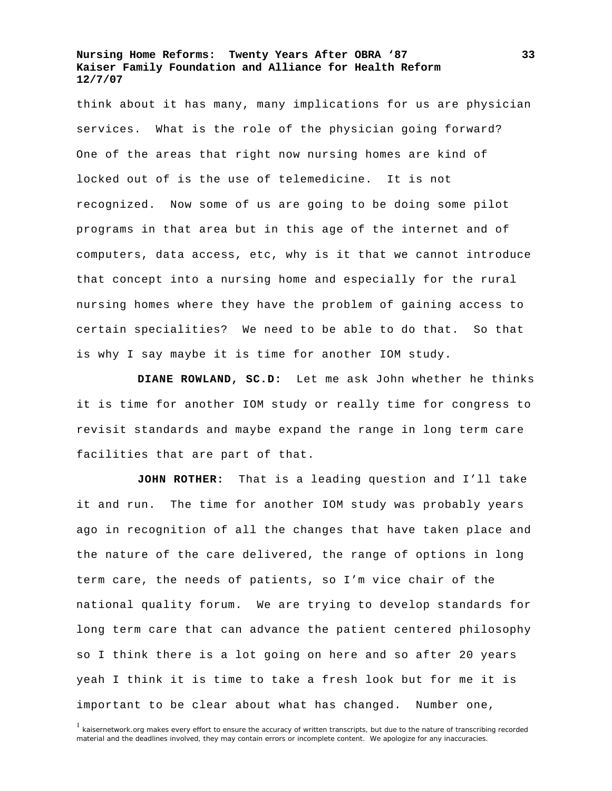think about it has many, many implications for us are physician services. What is the role of the physician going forward? One of the areas that right now nursing homes are kind of locked out of is the use of telemedicine. It is not recognized. Now some of us are going to be doing some pilot programs in that area but in this age of the internet and of computers, data access, etc, why is it that we cannot introduce that concept into a nursing home and especially for the rural nursing homes where they have the problem of gaining access to certain specialities? We need to be able to do that. So that is why I say maybe it is time for another IOM study.

**DIANE ROWLAND, SC.D:** Let me ask John whether he thinks it is time for another IOM study or really time for congress to revisit standards and maybe expand the range in long term care facilities that are part of that.

**JOHN ROTHER:** That is a leading question and I'll take it and run. The time for another IOM study was probably years ago in recognition of all the changes that have taken place and the nature of the care delivered, the range of options in long term care, the needs of patients, so I'm vice chair of the national quality forum. We are trying to develop standards for long term care that can advance the patient centered philosophy so I think there is a lot going on here and so after 20 years yeah I think it is time to take a fresh look but for me it is important to be clear about what has changed. Number one,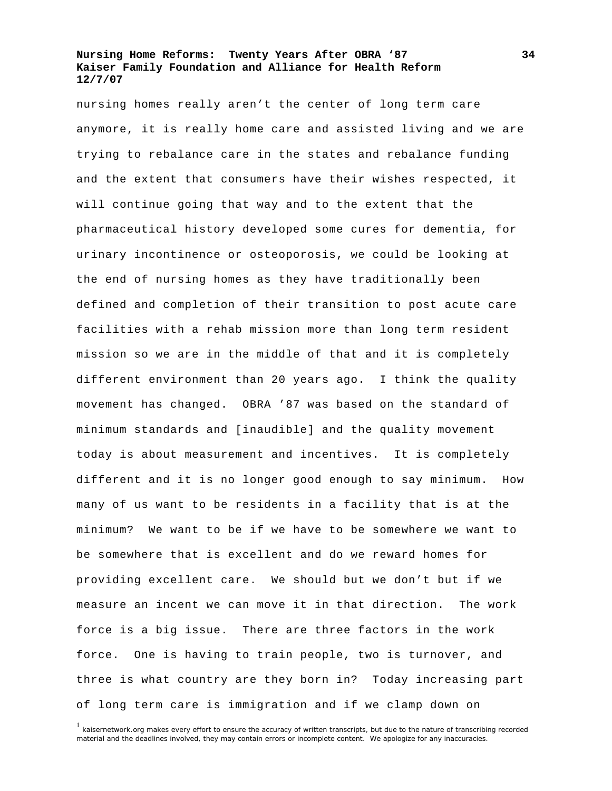nursing homes really aren't the center of long term care anymore, it is really home care and assisted living and we are trying to rebalance care in the states and rebalance funding and the extent that consumers have their wishes respected, it will continue going that way and to the extent that the pharmaceutical history developed some cures for dementia, for urinary incontinence or osteoporosis, we could be looking at the end of nursing homes as they have traditionally been defined and completion of their transition to post acute care facilities with a rehab mission more than long term resident mission so we are in the middle of that and it is completely different environment than 20 years ago. I think the quality movement has changed. OBRA '87 was based on the standard of minimum standards and [inaudible] and the quality movement today is about measurement and incentives. It is completely different and it is no longer good enough to say minimum. How many of us want to be residents in a facility that is at the minimum? We want to be if we have to be somewhere we want to be somewhere that is excellent and do we reward homes for providing excellent care. We should but we don't but if we measure an incent we can move it in that direction. The work force is a big issue. There are three factors in the work force. One is having to train people, two is turnover, and three is what country are they born in? Today increasing part of long term care is immigration and if we clamp down on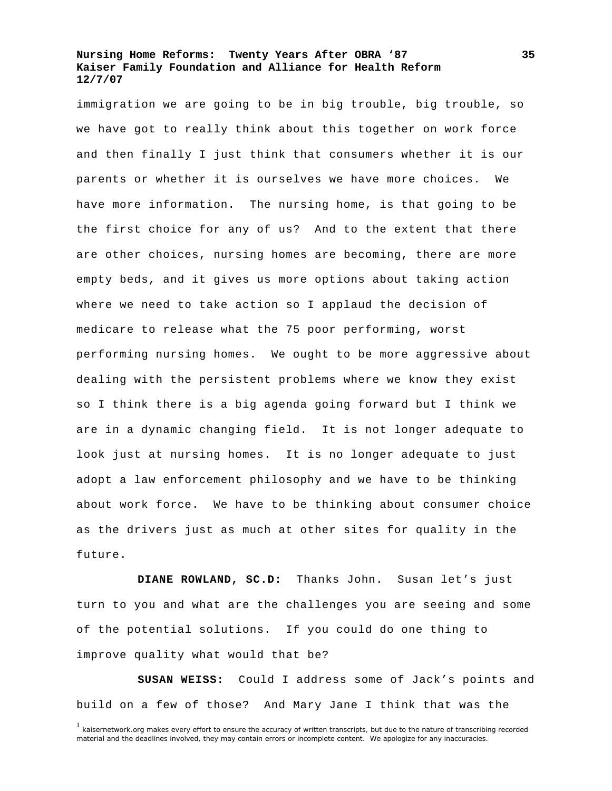immigration we are going to be in big trouble, big trouble, so we have got to really think about this together on work force and then finally I just think that consumers whether it is our parents or whether it is ourselves we have more choices. We have more information. The nursing home, is that going to be the first choice for any of us? And to the extent that there are other choices, nursing homes are becoming, there are more empty beds, and it gives us more options about taking action where we need to take action so I applaud the decision of medicare to release what the 75 poor performing, worst performing nursing homes. We ought to be more aggressive about dealing with the persistent problems where we know they exist so I think there is a big agenda going forward but I think we are in a dynamic changing field. It is not longer adequate to look just at nursing homes. It is no longer adequate to just adopt a law enforcement philosophy and we have to be thinking about work force. We have to be thinking about consumer choice as the drivers just as much at other sites for quality in the future.

**DIANE ROWLAND, SC.D:** Thanks John. Susan let's just turn to you and what are the challenges you are seeing and some of the potential solutions. If you could do one thing to improve quality what would that be?

**SUSAN WEISS:** Could I address some of Jack's points and build on a few of those? And Mary Jane I think that was the

<sup>&</sup>lt;sup>1</sup> kaisernetwork.org makes every effort to ensure the accuracy of written transcripts, but due to the nature of transcribing recorded material and the deadlines involved, they may contain errors or incomplete content. We apologize for any inaccuracies.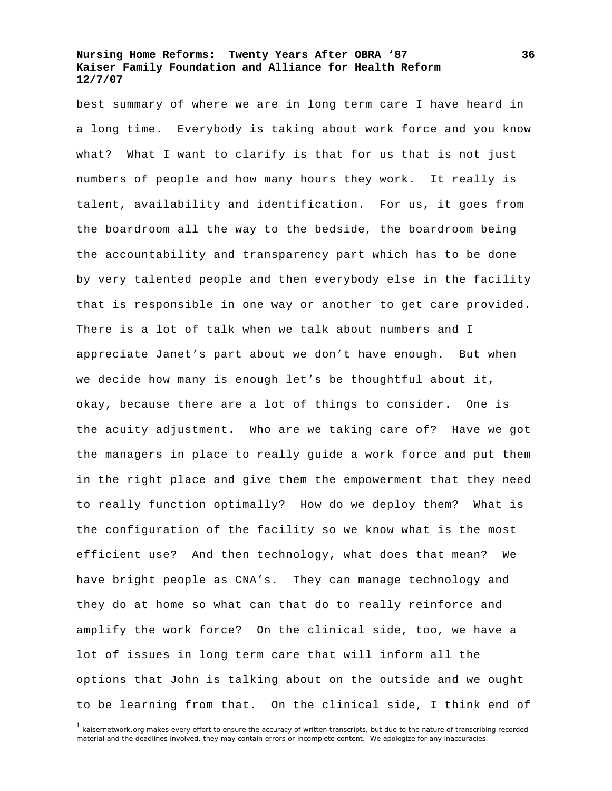best summary of where we are in long term care I have heard in a long time. Everybody is taking about work force and you know what? What I want to clarify is that for us that is not just numbers of people and how many hours they work. It really is talent, availability and identification. For us, it goes from the boardroom all the way to the bedside, the boardroom being the accountability and transparency part which has to be done by very talented people and then everybody else in the facility that is responsible in one way or another to get care provided. There is a lot of talk when we talk about numbers and I appreciate Janet's part about we don't have enough. But when we decide how many is enough let's be thoughtful about it, okay, because there are a lot of things to consider. One is the acuity adjustment. Who are we taking care of? Have we got the managers in place to really guide a work force and put them in the right place and give them the empowerment that they need to really function optimally? How do we deploy them? What is the configuration of the facility so we know what is the most efficient use? And then technology, what does that mean? We have bright people as CNA's. They can manage technology and they do at home so what can that do to really reinforce and amplify the work force? On the clinical side, too, we have a lot of issues in long term care that will inform all the options that John is talking about on the outside and we ought to be learning from that. On the clinical side, I think end of

<sup>&</sup>lt;sup>1</sup> kaisernetwork.org makes every effort to ensure the accuracy of written transcripts, but due to the nature of transcribing recorded material and the deadlines involved, they may contain errors or incomplete content. We apologize for any inaccuracies.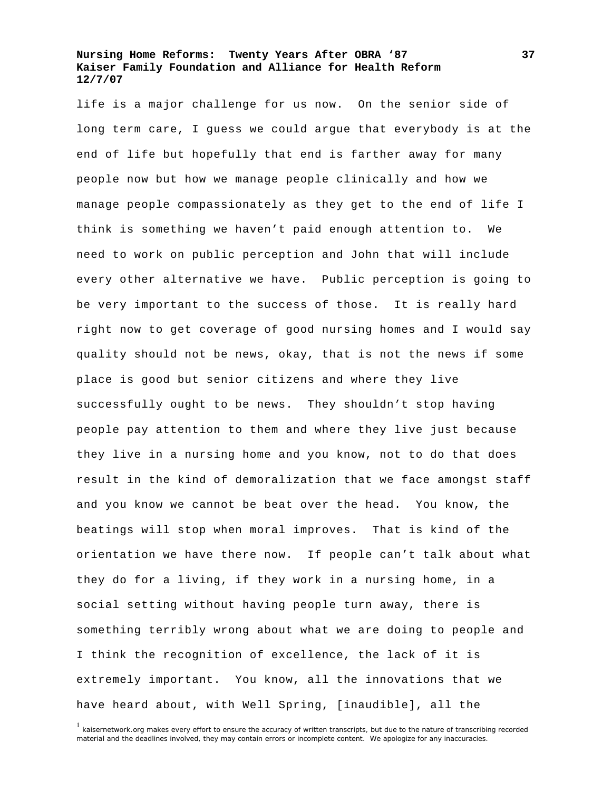life is a major challenge for us now. On the senior side of long term care, I guess we could argue that everybody is at the end of life but hopefully that end is farther away for many people now but how we manage people clinically and how we manage people compassionately as they get to the end of life I think is something we haven't paid enough attention to. We need to work on public perception and John that will include every other alternative we have. Public perception is going to be very important to the success of those. It is really hard right now to get coverage of good nursing homes and I would say quality should not be news, okay, that is not the news if some place is good but senior citizens and where they live successfully ought to be news. They shouldn't stop having people pay attention to them and where they live just because they live in a nursing home and you know, not to do that does result in the kind of demoralization that we face amongst staff and you know we cannot be beat over the head. You know, the beatings will stop when moral improves. That is kind of the orientation we have there now. If people can't talk about what they do for a living, if they work in a nursing home, in a social setting without having people turn away, there is something terribly wrong about what we are doing to people and I think the recognition of excellence, the lack of it is extremely important. You know, all the innovations that we have heard about, with Well Spring, [inaudible], all the

<sup>&</sup>lt;sup>1</sup> kaisernetwork.org makes every effort to ensure the accuracy of written transcripts, but due to the nature of transcribing recorded material and the deadlines involved, they may contain errors or incomplete content. We apologize for any inaccuracies.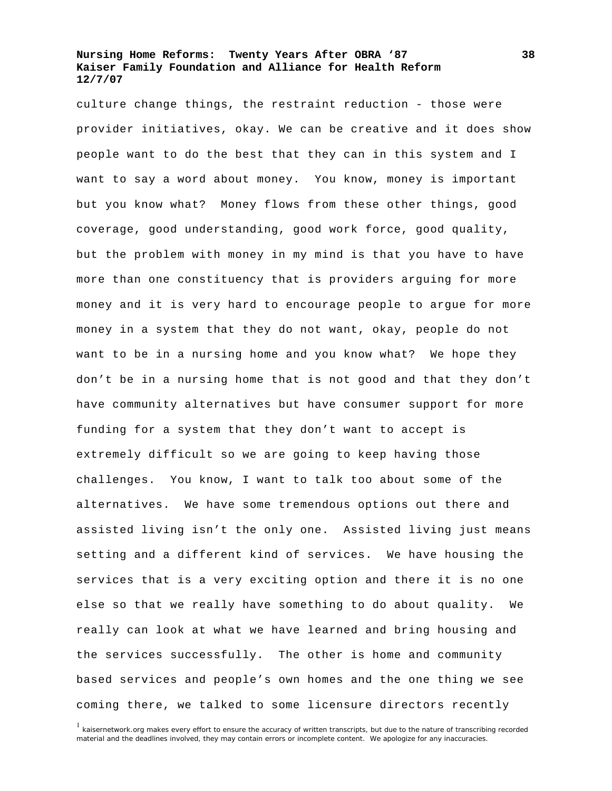culture change things, the restraint reduction - those were provider initiatives, okay. We can be creative and it does show people want to do the best that they can in this system and I want to say a word about money. You know, money is important but you know what? Money flows from these other things, good coverage, good understanding, good work force, good quality, but the problem with money in my mind is that you have to have more than one constituency that is providers arguing for more money and it is very hard to encourage people to argue for more money in a system that they do not want, okay, people do not want to be in a nursing home and you know what? We hope they don't be in a nursing home that is not good and that they don't have community alternatives but have consumer support for more funding for a system that they don't want to accept is extremely difficult so we are going to keep having those challenges. You know, I want to talk too about some of the alternatives. We have some tremendous options out there and assisted living isn't the only one. Assisted living just means setting and a different kind of services. We have housing the services that is a very exciting option and there it is no one else so that we really have something to do about quality. We really can look at what we have learned and bring housing and the services successfully. The other is home and community based services and people's own homes and the one thing we see coming there, we talked to some licensure directors recently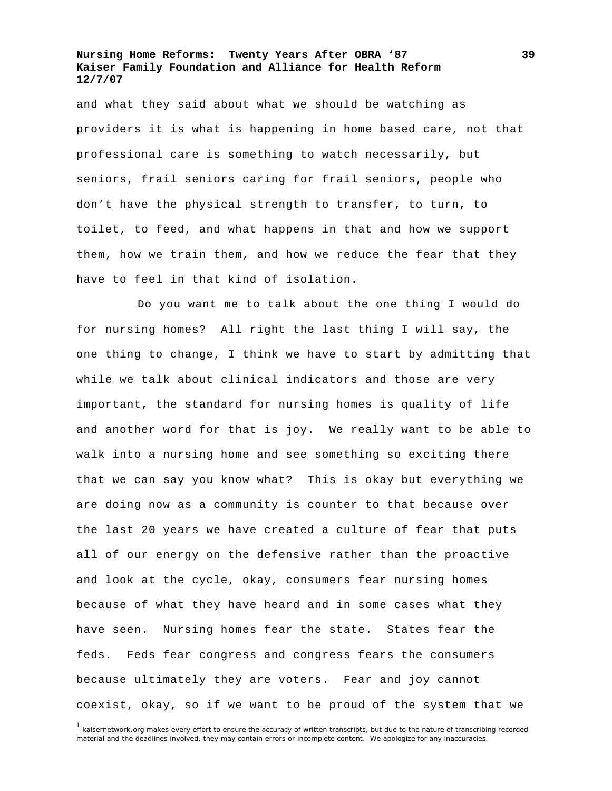and what they said about what we should be watching as providers it is what is happening in home based care, not that professional care is something to watch necessarily, but seniors, frail seniors caring for frail seniors, people who don't have the physical strength to transfer, to turn, to toilet, to feed, and what happens in that and how we support them, how we train them, and how we reduce the fear that they have to feel in that kind of isolation.

Do you want me to talk about the one thing I would do for nursing homes? All right the last thing I will say, the one thing to change, I think we have to start by admitting that while we talk about clinical indicators and those are very important, the standard for nursing homes is quality of life and another word for that is joy. We really want to be able to walk into a nursing home and see something so exciting there that we can say you know what? This is okay but everything we are doing now as a community is counter to that because over the last 20 years we have created a culture of fear that puts all of our energy on the defensive rather than the proactive and look at the cycle, okay, consumers fear nursing homes because of what they have heard and in some cases what they have seen. Nursing homes fear the state. States fear the feds. Feds fear congress and congress fears the consumers because ultimately they are voters. Fear and joy cannot coexist, okay, so if we want to be proud of the system that we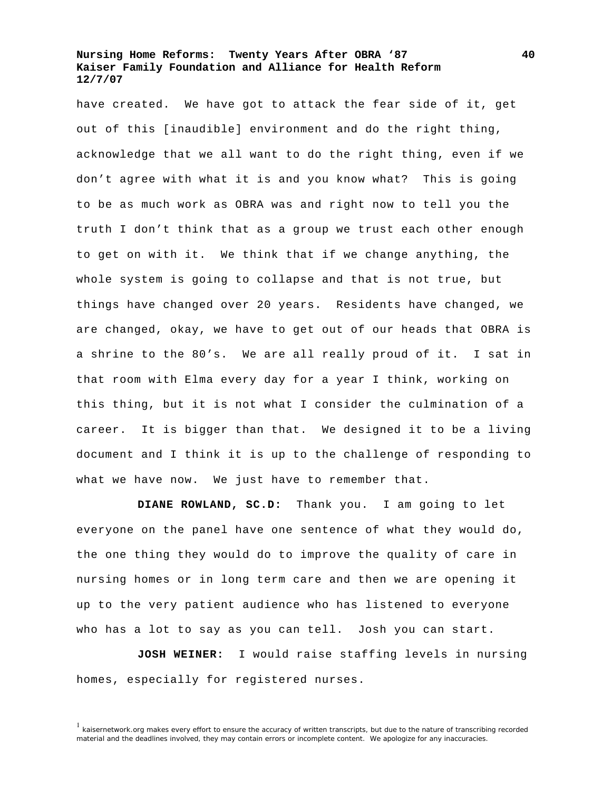have created. We have got to attack the fear side of it, get out of this [inaudible] environment and do the right thing, acknowledge that we all want to do the right thing, even if we don't agree with what it is and you know what? This is going to be as much work as OBRA was and right now to tell you the truth I don't think that as a group we trust each other enough to get on with it. We think that if we change anything, the whole system is going to collapse and that is not true, but things have changed over 20 years. Residents have changed, we are changed, okay, we have to get out of our heads that OBRA is a shrine to the 80's. We are all really proud of it. I sat in that room with Elma every day for a year I think, working on this thing, but it is not what I consider the culmination of a career. It is bigger than that. We designed it to be a living document and I think it is up to the challenge of responding to what we have now. We just have to remember that.

**DIANE ROWLAND, SC.D:** Thank you. I am going to let everyone on the panel have one sentence of what they would do, the one thing they would do to improve the quality of care in nursing homes or in long term care and then we are opening it up to the very patient audience who has listened to everyone who has a lot to say as you can tell. Josh you can start.

**JOSH WEINER:** I would raise staffing levels in nursing homes, especially for registered nurses.

<sup>&</sup>lt;sup>1</sup> kaisernetwork.org makes every effort to ensure the accuracy of written transcripts, but due to the nature of transcribing recorded material and the deadlines involved, they may contain errors or incomplete content. We apologize for any inaccuracies.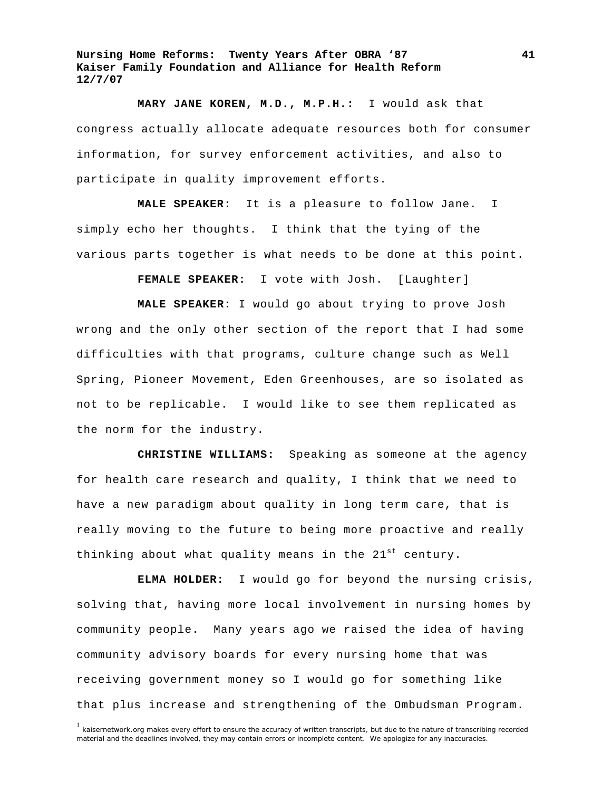**MARY JANE KOREN, M.D., M.P.H.:** I would ask that congress actually allocate adequate resources both for consumer information, for survey enforcement activities, and also to participate in quality improvement efforts.

**MALE SPEAKER:** It is a pleasure to follow Jane. I simply echo her thoughts. I think that the tying of the various parts together is what needs to be done at this point.

**FEMALE SPEAKER:** I vote with Josh. [Laughter]

**MALE SPEAKER:** I would go about trying to prove Josh wrong and the only other section of the report that I had some difficulties with that programs, culture change such as Well Spring, Pioneer Movement, Eden Greenhouses, are so isolated as not to be replicable. I would like to see them replicated as the norm for the industry.

**CHRISTINE WILLIAMS:** Speaking as someone at the agency for health care research and quality, I think that we need to have a new paradigm about quality in long term care, that is really moving to the future to being more proactive and really thinking about what quality means in the  $21^{st}$  century.

**ELMA HOLDER:** I would go for beyond the nursing crisis, solving that, having more local involvement in nursing homes by community people. Many years ago we raised the idea of having community advisory boards for every nursing home that was receiving government money so I would go for something like that plus increase and strengthening of the Ombudsman Program.

<sup>&</sup>lt;sup>1</sup> kaisernetwork.org makes every effort to ensure the accuracy of written transcripts, but due to the nature of transcribing recorded material and the deadlines involved, they may contain errors or incomplete content. We apologize for any inaccuracies.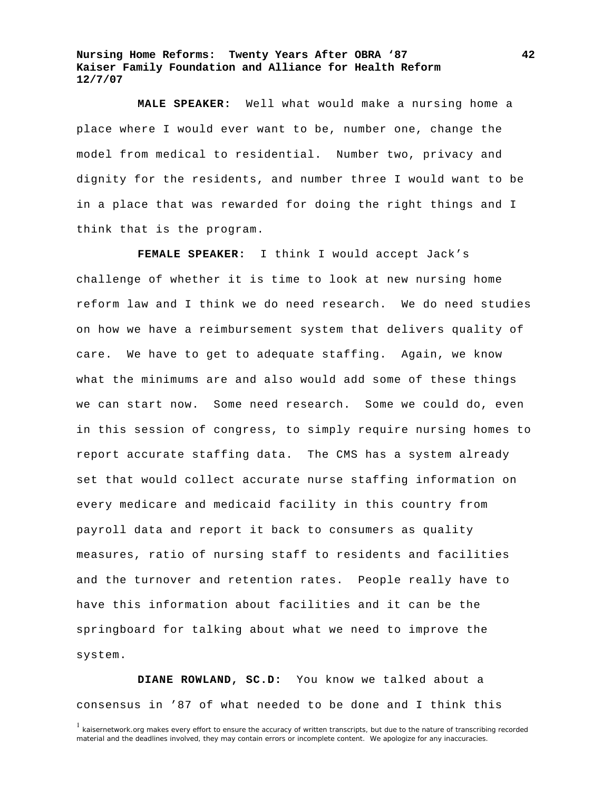**MALE SPEAKER:** Well what would make a nursing home a place where I would ever want to be, number one, change the model from medical to residential. Number two, privacy and dignity for the residents, and number three I would want to be in a place that was rewarded for doing the right things and I think that is the program.

**FEMALE SPEAKER:** I think I would accept Jack's challenge of whether it is time to look at new nursing home reform law and I think we do need research. We do need studies on how we have a reimbursement system that delivers quality of care. We have to get to adequate staffing. Again, we know what the minimums are and also would add some of these things we can start now. Some need research. Some we could do, even in this session of congress, to simply require nursing homes to report accurate staffing data. The CMS has a system already set that would collect accurate nurse staffing information on every medicare and medicaid facility in this country from payroll data and report it back to consumers as quality measures, ratio of nursing staff to residents and facilities and the turnover and retention rates. People really have to have this information about facilities and it can be the springboard for talking about what we need to improve the system.

**DIANE ROWLAND, SC.D:** You know we talked about a consensus in '87 of what needed to be done and I think this

<sup>&</sup>lt;sup>1</sup> kaisernetwork.org makes every effort to ensure the accuracy of written transcripts, but due to the nature of transcribing recorded material and the deadlines involved, they may contain errors or incomplete content. We apologize for any inaccuracies.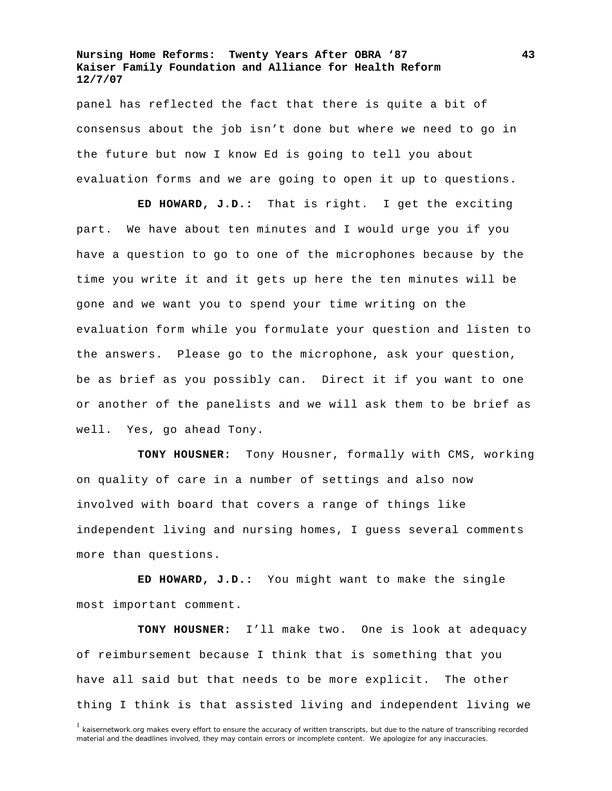panel has reflected the fact that there is quite a bit of consensus about the job isn't done but where we need to go in the future but now I know Ed is going to tell you about evaluation forms and we are going to open it up to questions.

**ED HOWARD, J.D.:** That is right. I get the exciting part. We have about ten minutes and I would urge you if you have a question to go to one of the microphones because by the time you write it and it gets up here the ten minutes will be gone and we want you to spend your time writing on the evaluation form while you formulate your question and listen to the answers. Please go to the microphone, ask your question, be as brief as you possibly can. Direct it if you want to one or another of the panelists and we will ask them to be brief as well. Yes, go ahead Tony.

**TONY HOUSNER:** Tony Housner, formally with CMS, working on quality of care in a number of settings and also now involved with board that covers a range of things like independent living and nursing homes, I guess several comments more than questions.

**ED HOWARD, J.D.:** You might want to make the single most important comment.

**TONY HOUSNER:** I'll make two. One is look at adequacy of reimbursement because I think that is something that you have all said but that needs to be more explicit. The other thing I think is that assisted living and independent living we

<sup>&</sup>lt;sup>1</sup> kaisernetwork.org makes every effort to ensure the accuracy of written transcripts, but due to the nature of transcribing recorded material and the deadlines involved, they may contain errors or incomplete content. We apologize for any inaccuracies.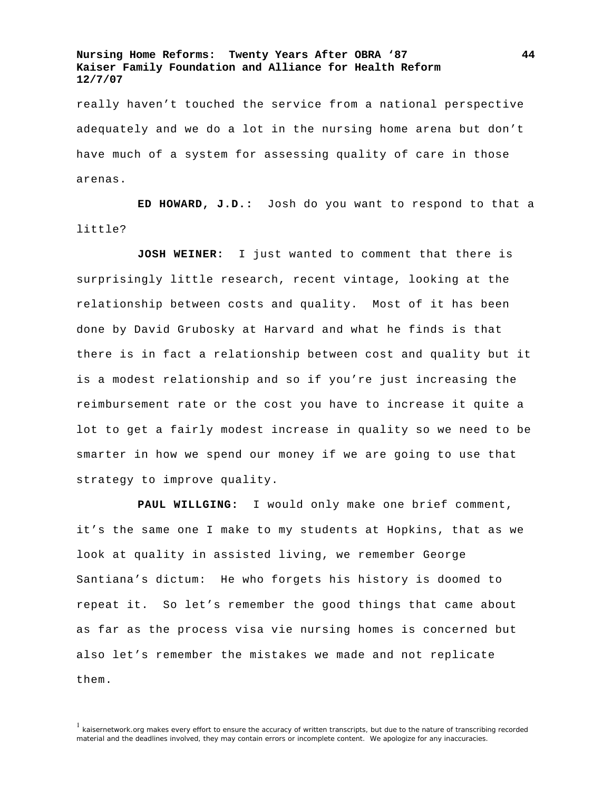really haven't touched the service from a national perspective adequately and we do a lot in the nursing home arena but don't have much of a system for assessing quality of care in those arenas.

**ED HOWARD, J.D.:** Josh do you want to respond to that a little?

**JOSH WEINER:** I just wanted to comment that there is surprisingly little research, recent vintage, looking at the relationship between costs and quality. Most of it has been done by David Grubosky at Harvard and what he finds is that there is in fact a relationship between cost and quality but it is a modest relationship and so if you're just increasing the reimbursement rate or the cost you have to increase it quite a lot to get a fairly modest increase in quality so we need to be smarter in how we spend our money if we are going to use that strategy to improve quality.

**PAUL WILLGING:** I would only make one brief comment, it's the same one I make to my students at Hopkins, that as we look at quality in assisted living, we remember George Santiana's dictum: He who forgets his history is doomed to repeat it. So let's remember the good things that came about as far as the process visa vie nursing homes is concerned but also let's remember the mistakes we made and not replicate them.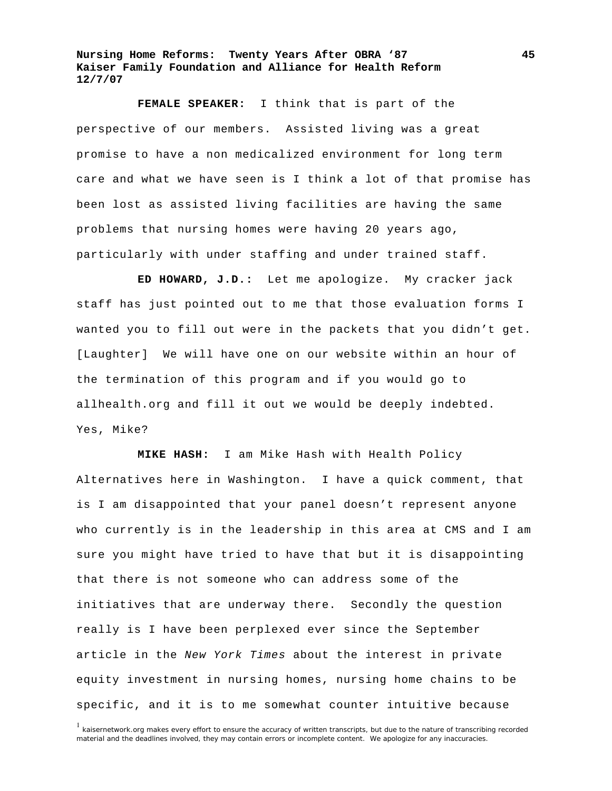**FEMALE SPEAKER:** I think that is part of the perspective of our members. Assisted living was a great promise to have a non medicalized environment for long term care and what we have seen is I think a lot of that promise has been lost as assisted living facilities are having the same problems that nursing homes were having 20 years ago, particularly with under staffing and under trained staff.

**ED HOWARD, J.D.:** Let me apologize. My cracker jack staff has just pointed out to me that those evaluation forms I wanted you to fill out were in the packets that you didn't get. [Laughter] We will have one on our website within an hour of the termination of this program and if you would go to allhealth.org and fill it out we would be deeply indebted. Yes, Mike?

**MIKE HASH:** I am Mike Hash with Health Policy Alternatives here in Washington. I have a quick comment, that is I am disappointed that your panel doesn't represent anyone who currently is in the leadership in this area at CMS and I am sure you might have tried to have that but it is disappointing that there is not someone who can address some of the initiatives that are underway there. Secondly the question really is I have been perplexed ever since the September article in the *New York Times* about the interest in private equity investment in nursing homes, nursing home chains to be specific, and it is to me somewhat counter intuitive because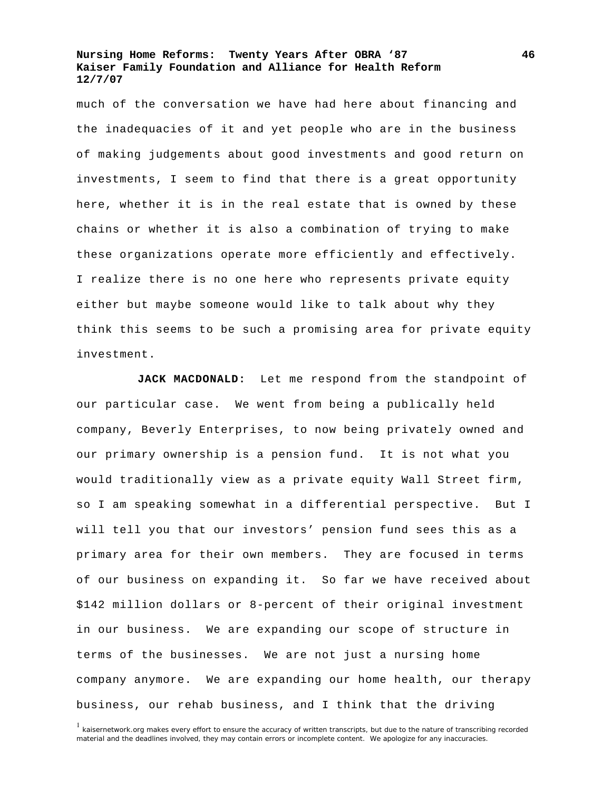much of the conversation we have had here about financing and the inadequacies of it and yet people who are in the business of making judgements about good investments and good return on investments, I seem to find that there is a great opportunity here, whether it is in the real estate that is owned by these chains or whether it is also a combination of trying to make these organizations operate more efficiently and effectively. I realize there is no one here who represents private equity either but maybe someone would like to talk about why they think this seems to be such a promising area for private equity investment.

**JACK MACDONALD:** Let me respond from the standpoint of our particular case. We went from being a publically held company, Beverly Enterprises, to now being privately owned and our primary ownership is a pension fund. It is not what you would traditionally view as a private equity Wall Street firm, so I am speaking somewhat in a differential perspective. But I will tell you that our investors' pension fund sees this as a primary area for their own members. They are focused in terms of our business on expanding it. So far we have received about \$142 million dollars or 8-percent of their original investment in our business. We are expanding our scope of structure in terms of the businesses. We are not just a nursing home company anymore. We are expanding our home health, our therapy business, our rehab business, and I think that the driving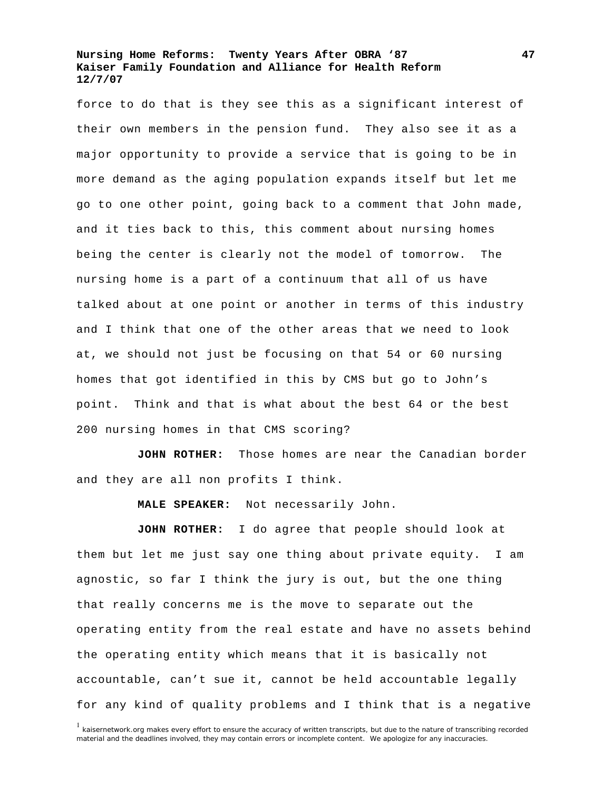force to do that is they see this as a significant interest of their own members in the pension fund. They also see it as a major opportunity to provide a service that is going to be in more demand as the aging population expands itself but let me go to one other point, going back to a comment that John made, and it ties back to this, this comment about nursing homes being the center is clearly not the model of tomorrow. The nursing home is a part of a continuum that all of us have talked about at one point or another in terms of this industry and I think that one of the other areas that we need to look at, we should not just be focusing on that 54 or 60 nursing homes that got identified in this by CMS but go to John's point. Think and that is what about the best 64 or the best 200 nursing homes in that CMS scoring?

**JOHN ROTHER:** Those homes are near the Canadian border and they are all non profits I think.

**MALE SPEAKER:** Not necessarily John.

**JOHN ROTHER:** I do agree that people should look at them but let me just say one thing about private equity. I am agnostic, so far I think the jury is out, but the one thing that really concerns me is the move to separate out the operating entity from the real estate and have no assets behind the operating entity which means that it is basically not accountable, can't sue it, cannot be held accountable legally for any kind of quality problems and I think that is a negative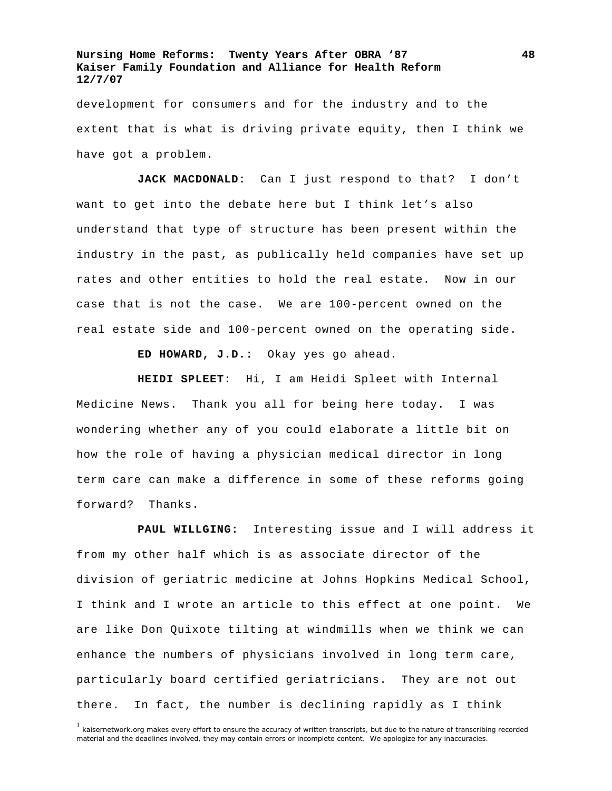development for consumers and for the industry and to the extent that is what is driving private equity, then I think we have got a problem.

**JACK MACDONALD:** Can I just respond to that? I don't want to get into the debate here but I think let's also understand that type of structure has been present within the industry in the past, as publically held companies have set up rates and other entities to hold the real estate. Now in our case that is not the case. We are 100-percent owned on the real estate side and 100-percent owned on the operating side.

**ED HOWARD, J.D.:** Okay yes go ahead.

**HEIDI SPLEET:** Hi, I am Heidi Spleet with Internal Medicine News. Thank you all for being here today. I was wondering whether any of you could elaborate a little bit on how the role of having a physician medical director in long term care can make a difference in some of these reforms going forward? Thanks.

**PAUL WILLGING:** Interesting issue and I will address it from my other half which is as associate director of the division of geriatric medicine at Johns Hopkins Medical School, I think and I wrote an article to this effect at one point. We are like Don Quixote tilting at windmills when we think we can enhance the numbers of physicians involved in long term care, particularly board certified geriatricians. They are not out there. In fact, the number is declining rapidly as I think

<sup>&</sup>lt;sup>1</sup> kaisernetwork.org makes every effort to ensure the accuracy of written transcripts, but due to the nature of transcribing recorded material and the deadlines involved, they may contain errors or incomplete content. We apologize for any inaccuracies.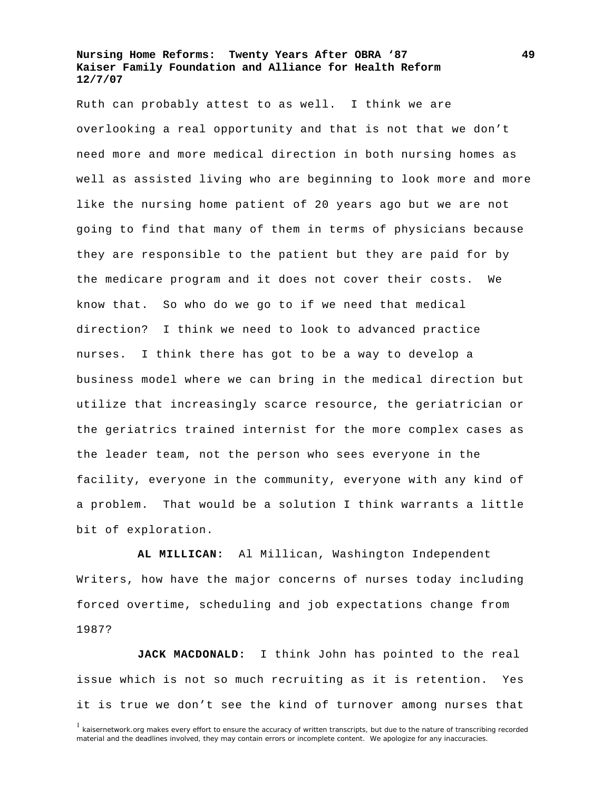Ruth can probably attest to as well. I think we are overlooking a real opportunity and that is not that we don't need more and more medical direction in both nursing homes as well as assisted living who are beginning to look more and more like the nursing home patient of 20 years ago but we are not going to find that many of them in terms of physicians because they are responsible to the patient but they are paid for by the medicare program and it does not cover their costs. We know that. So who do we go to if we need that medical direction? I think we need to look to advanced practice nurses. I think there has got to be a way to develop a business model where we can bring in the medical direction but utilize that increasingly scarce resource, the geriatrician or the geriatrics trained internist for the more complex cases as the leader team, not the person who sees everyone in the facility, everyone in the community, everyone with any kind of a problem. That would be a solution I think warrants a little bit of exploration.

**AL MILLICAN:** Al Millican, Washington Independent Writers, how have the major concerns of nurses today including forced overtime, scheduling and job expectations change from 1987?

**JACK MACDONALD:** I think John has pointed to the real issue which is not so much recruiting as it is retention. Yes it is true we don't see the kind of turnover among nurses that

<sup>&</sup>lt;sup>1</sup> kaisernetwork.org makes every effort to ensure the accuracy of written transcripts, but due to the nature of transcribing recorded material and the deadlines involved, they may contain errors or incomplete content. We apologize for any inaccuracies.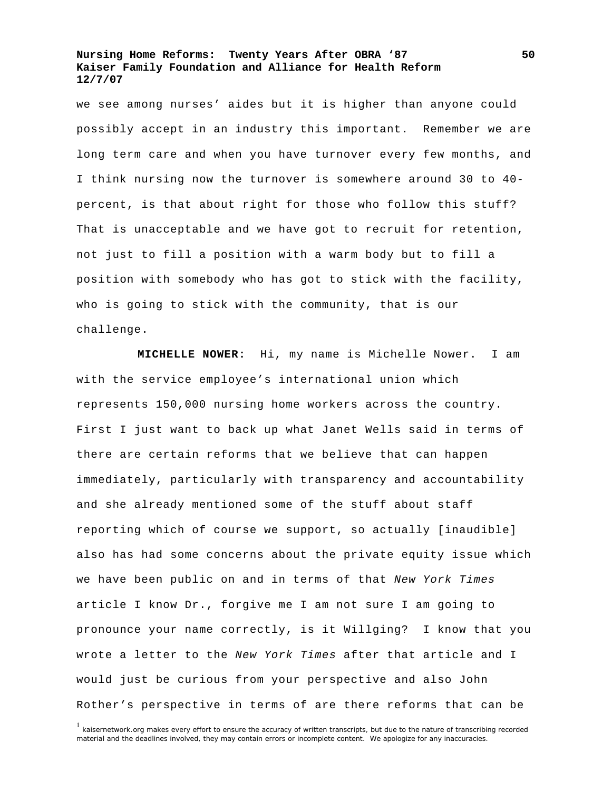we see among nurses' aides but it is higher than anyone could possibly accept in an industry this important. Remember we are long term care and when you have turnover every few months, and I think nursing now the turnover is somewhere around 30 to 40 percent, is that about right for those who follow this stuff? That is unacceptable and we have got to recruit for retention, not just to fill a position with a warm body but to fill a position with somebody who has got to stick with the facility, who is going to stick with the community, that is our challenge.

**MICHELLE NOWER:** Hi, my name is Michelle Nower. I am with the service employee's international union which represents 150,000 nursing home workers across the country. First I just want to back up what Janet Wells said in terms of there are certain reforms that we believe that can happen immediately, particularly with transparency and accountability and she already mentioned some of the stuff about staff reporting which of course we support, so actually [inaudible] also has had some concerns about the private equity issue which we have been public on and in terms of that *New York Times* article I know Dr., forgive me I am not sure I am going to pronounce your name correctly, is it Willging? I know that you wrote a letter to the *New York Times* after that article and I would just be curious from your perspective and also John Rother's perspective in terms of are there reforms that can be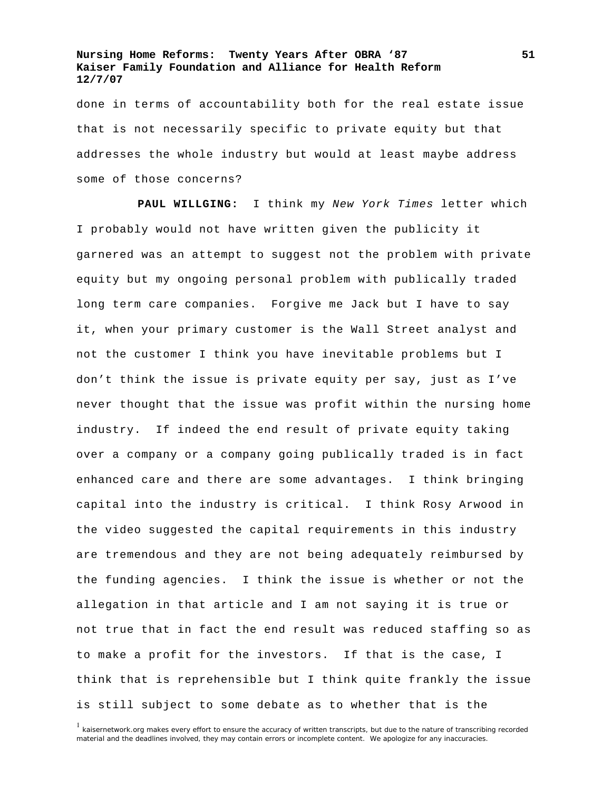done in terms of accountability both for the real estate issue that is not necessarily specific to private equity but that addresses the whole industry but would at least maybe address some of those concerns?

**PAUL WILLGING:** I think my *New York Times* letter which I probably would not have written given the publicity it garnered was an attempt to suggest not the problem with private equity but my ongoing personal problem with publically traded long term care companies. Forgive me Jack but I have to say it, when your primary customer is the Wall Street analyst and not the customer I think you have inevitable problems but I don't think the issue is private equity per say, just as I've never thought that the issue was profit within the nursing home industry. If indeed the end result of private equity taking over a company or a company going publically traded is in fact enhanced care and there are some advantages. I think bringing capital into the industry is critical. I think Rosy Arwood in the video suggested the capital requirements in this industry are tremendous and they are not being adequately reimbursed by the funding agencies. I think the issue is whether or not the allegation in that article and I am not saying it is true or not true that in fact the end result was reduced staffing so as to make a profit for the investors. If that is the case, I think that is reprehensible but I think quite frankly the issue is still subject to some debate as to whether that is the

<sup>1</sup> kaisernetwork.org makes every effort to ensure the accuracy of written transcripts, but due to the nature of transcribing recorded material and the deadlines involved, they may contain errors or incomplete content. We apologize for any inaccuracies.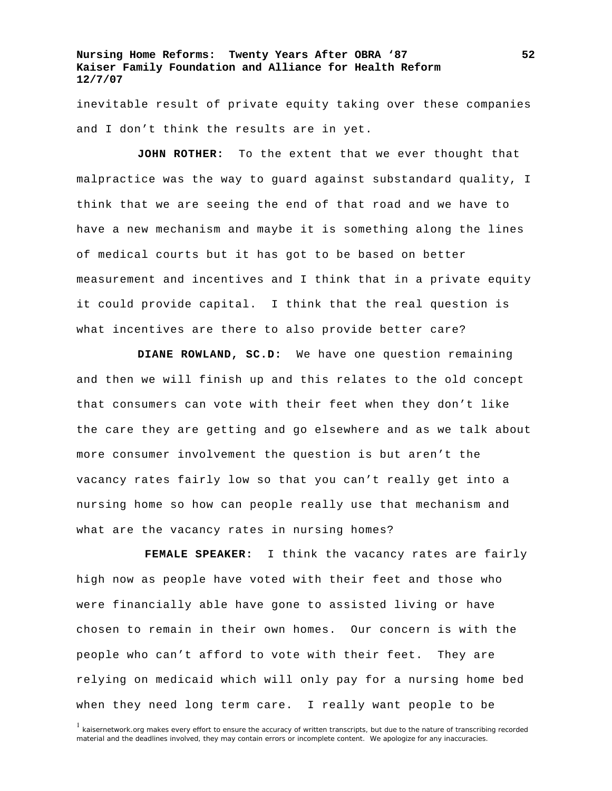inevitable result of private equity taking over these companies and I don't think the results are in yet.

**JOHN ROTHER:** To the extent that we ever thought that malpractice was the way to guard against substandard quality, I think that we are seeing the end of that road and we have to have a new mechanism and maybe it is something along the lines of medical courts but it has got to be based on better measurement and incentives and I think that in a private equity it could provide capital. I think that the real question is what incentives are there to also provide better care?

**DIANE ROWLAND, SC.D:** We have one question remaining and then we will finish up and this relates to the old concept that consumers can vote with their feet when they don't like the care they are getting and go elsewhere and as we talk about more consumer involvement the question is but aren't the vacancy rates fairly low so that you can't really get into a nursing home so how can people really use that mechanism and what are the vacancy rates in nursing homes?

**FEMALE SPEAKER:** I think the vacancy rates are fairly high now as people have voted with their feet and those who were financially able have gone to assisted living or have chosen to remain in their own homes. Our concern is with the people who can't afford to vote with their feet. They are relying on medicaid which will only pay for a nursing home bed when they need long term care. I really want people to be

<sup>&</sup>lt;sup>1</sup> kaisernetwork.org makes every effort to ensure the accuracy of written transcripts, but due to the nature of transcribing recorded material and the deadlines involved, they may contain errors or incomplete content. We apologize for any inaccuracies.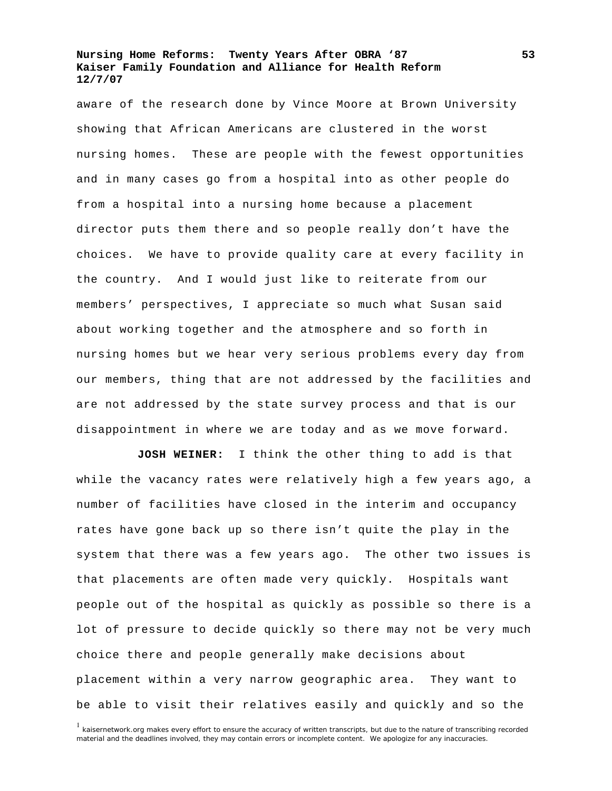aware of the research done by Vince Moore at Brown University showing that African Americans are clustered in the worst nursing homes. These are people with the fewest opportunities and in many cases go from a hospital into as other people do from a hospital into a nursing home because a placement director puts them there and so people really don't have the choices. We have to provide quality care at every facility in the country. And I would just like to reiterate from our members' perspectives, I appreciate so much what Susan said about working together and the atmosphere and so forth in nursing homes but we hear very serious problems every day from our members, thing that are not addressed by the facilities and are not addressed by the state survey process and that is our disappointment in where we are today and as we move forward.

**JOSH WEINER:** I think the other thing to add is that while the vacancy rates were relatively high a few years ago, a number of facilities have closed in the interim and occupancy rates have gone back up so there isn't quite the play in the system that there was a few years ago. The other two issues is that placements are often made very quickly. Hospitals want people out of the hospital as quickly as possible so there is a lot of pressure to decide quickly so there may not be very much choice there and people generally make decisions about placement within a very narrow geographic area. They want to be able to visit their relatives easily and quickly and so the